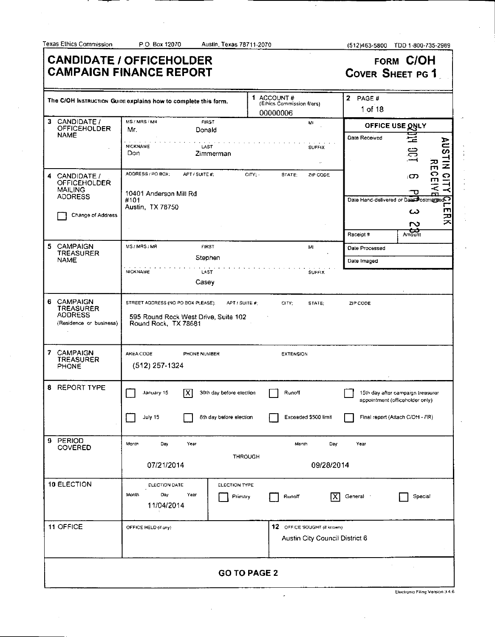Texas Ethics Commission P.O. Box 12070 Austin, Texas 78711-2070 (512)463-5800 TDD 1-800-735-2989

÷

|                                                                             | <b>CANDIDATE / OFFICEHOLDER</b><br><b>CAMPAIGN FINANCE REPORT</b>                                                    |                                                               | FORM C/OH<br>COVER SHEET PG 1                                                    |  |  |
|-----------------------------------------------------------------------------|----------------------------------------------------------------------------------------------------------------------|---------------------------------------------------------------|----------------------------------------------------------------------------------|--|--|
|                                                                             | The C/OH Instruction Guide explains how to complete this form.                                                       | 1 ACCOUNT#<br>(Ethics Commission filers)<br>00000006          | $2$ PAGE#<br>1 of 18                                                             |  |  |
| CANDIDATE /<br>з.<br><b>OFFICEHOLDER</b>                                    | MS / MRS / MR<br>FIRST<br>Mr.<br>Donald                                                                              | M                                                             | OFFICE USE QNLY                                                                  |  |  |
| <b>NAME</b>                                                                 | <b>NICKNAME</b><br>LAST<br>Don<br>Zimmerman                                                                          | <b>SUFFIX</b><br>$\mathcal{L}^{\mathcal{L}}$                  | Date Received<br><u>m</u><br>$\Xi$<br>$\bar{\bm{c}}$<br>글                        |  |  |
| 4 CANDIDATE /<br>OFFICEHOLDER<br><b>MAILING</b><br><b>ADDRESS</b>           | ADDRESS / PO BOX:<br>APT / SUITE #:<br>10401 Anderson Mill Rd<br>#101<br>Austin, TX 78750                            | CITY:<br>STATE:<br>ZIP CODE                                   | m<br>ဂ<br>$\frac{1}{2}$<br>တ<br>m<br>ъ<br>Date Hand-delivered or Date Postmarsed |  |  |
| Change of Address                                                           |                                                                                                                      |                                                               | m<br>ယ<br>곶<br>$\sim$<br><del>دن<br/>Amount</del><br>Receipt #                   |  |  |
| <b>CAMPAIGN</b><br>5.<br><b>TREASURER</b><br><b>NAME</b>                    | MS/MRS/MR<br>FIRST<br>Stephen<br><b>NICKNAME</b><br>LAST<br>Casey                                                    | м<br><b>SUFFIX</b>                                            | Date Processed<br>Date Imaged                                                    |  |  |
| 6 CAMPAIGN<br><b>TREASURER</b><br><b>ADDRESS</b><br>(Residence or business) | STREET ADDRESS (NO PO BOX PLEASE):<br>APT / SUITE #:<br>595 Round Rock West Drive, Suite 102<br>Round Rock, TX 78681 | CITY;<br>STATE:                                               | ZIP CODE                                                                         |  |  |
| 7 CAMPAIGN<br><b>TREASURER</b><br><b>PHONE</b>                              | AREA CODE<br>PHONE NUMBER<br>$(512)$ 257-1324                                                                        | <b>EXTENSION</b>                                              |                                                                                  |  |  |
| 8 REPORT TYPE                                                               | January 15<br>30th day before election<br>IX.                                                                        | Runoff                                                        | 15th day after campaign treasurer<br>appointment (officeholder only)             |  |  |
|                                                                             | July 15<br>8th day before election                                                                                   | Exceeded \$500 limit                                          | Final report (Attach C/OH - FR)                                                  |  |  |
| PERIOD<br>9.<br>COVERED                                                     | Month<br>Dav<br>Year<br><b>THROUGH</b>                                                                               | Month<br>Day                                                  | Year                                                                             |  |  |
|                                                                             | 07/21/2014                                                                                                           | 09/28/2014                                                    |                                                                                  |  |  |
| 10 ELECTION                                                                 | <b>ELECTION DATE</b><br>ELECTION TYPE<br>Month<br>Dav<br>Year<br>Primary<br>11/04/2014                               | Runalf<br>$ \mathsf{X} $                                      | General :<br>Special                                                             |  |  |
| 11 OFFICE                                                                   | OFFICE HELD (if any)                                                                                                 | 12 OFFICE SOUGHT (if known)<br>Austin City Council District 6 |                                                                                  |  |  |
| <b>GO TO PAGE 2</b>                                                         |                                                                                                                      |                                                               |                                                                                  |  |  |

 $\overline{\phantom{a}}$ 

Electronic Filing Version .3 4.6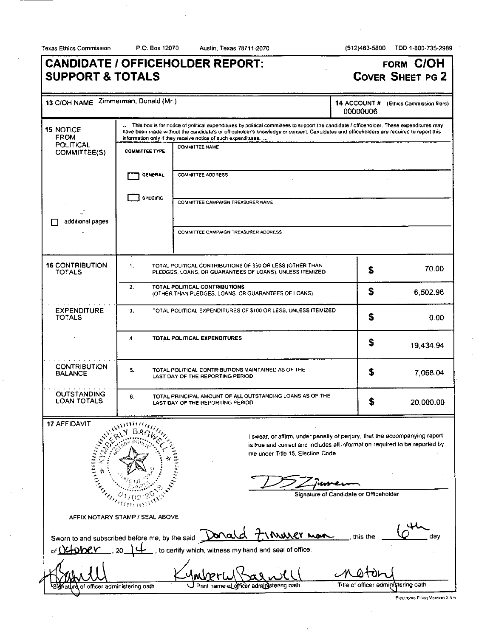Texas Ethics Commission P.O. Box 12070 Austin, Texas 78711-2070 **(512)463-5800 TDD 1-800-735-2989** 

# **CANDIDATE / OFFICEHOLDER REPORT: SUPPORT & TOTALS**

**FORM C/OH COVER SHEET PG 2** 

| 13 C/OH NAME Zimmerman, Donald (Mr.)                   |                                                          |                                                                                                                                                                                                                                                                                                                                                      | <b>14 ACCOUNT#</b><br>00000006 | (Ethics Commission filers)          |  |
|--------------------------------------------------------|----------------------------------------------------------|------------------------------------------------------------------------------------------------------------------------------------------------------------------------------------------------------------------------------------------------------------------------------------------------------------------------------------------------------|--------------------------------|-------------------------------------|--|
| <b>15 NOTICE</b><br><b>FROM</b>                        |                                                          | This box is for notice of political expenditures by political committees to support the candidate / officeholder. These expenditures may<br>have been made without the candidate's or officeholder's knowledge or consent. Candidates and officeholders are required to report this<br>information only if they receive notice of such expenditures. |                                |                                     |  |
| <b>POLITICAL</b><br>COMMITTEE(S)                       | <b>COMMITTEE TYPE</b>                                    | <b>COMMITTEE NAME</b>                                                                                                                                                                                                                                                                                                                                |                                |                                     |  |
|                                                        | <b>GENERAL</b>                                           | <b>COMMITTEE ADDRESS</b>                                                                                                                                                                                                                                                                                                                             |                                |                                     |  |
|                                                        | <b>SPECIFIC</b>                                          | COMMITTEE CAMPAIGN TREASURER NAME                                                                                                                                                                                                                                                                                                                    |                                |                                     |  |
| additional pages                                       |                                                          | COMMITTEE CAMPAIGN TREASURER ADDRESS                                                                                                                                                                                                                                                                                                                 |                                |                                     |  |
|                                                        |                                                          |                                                                                                                                                                                                                                                                                                                                                      |                                |                                     |  |
| <b>16 CONTRIBUTION</b><br><b>TOTALS</b>                | 1.                                                       | TOTAL POLITICAL CONTRIBUTIONS OF \$50 OR LESS (OTHER THAN<br>70.00<br>\$<br>PLEDGES, LOANS, OR GUARANTEES OF LOANS). UNLESS ITEMIZED                                                                                                                                                                                                                 |                                |                                     |  |
|                                                        | $\overline{2}$ .                                         | TOTAL POLITICAL CONTRIBUTIONS<br>\$<br>6 502.98<br>(OTHER THAN PLEDGES, LOANS, OR GUARANTEES OF LOANS).                                                                                                                                                                                                                                              |                                |                                     |  |
| <b>EXPENDITURE</b><br><b>TOTALS</b>                    | 3.                                                       | TOTAL POLITICAL EXPENDITURES OF \$100 OR LESS, UNLESS ITEMIZED.                                                                                                                                                                                                                                                                                      | 0.00                           |                                     |  |
|                                                        | 4.                                                       | TOTAL POLITICAL EXPENDITURES<br>\$<br>19 434 94                                                                                                                                                                                                                                                                                                      |                                |                                     |  |
| <b>CONTRIBUTION</b><br><b>BALANCE</b>                  | 5.                                                       | TOTAL POLITICAL CONTRIBUTIONS MAINTAINED AS OF THE<br>LAST DAY OF THE REPORTING PERIOD                                                                                                                                                                                                                                                               | Ŝ                              | 7.068.04                            |  |
| <b>OUTSTANDING</b><br><b>LOAN TOTALS</b>               | 6.                                                       | TOTAL PRINCIPAL AMOUNT OF ALL OUTSTANDING LOANS AS OF THE<br>LAST DAY OF THE REPORTING PERIOD                                                                                                                                                                                                                                                        | \$                             | 20,000.00                           |  |
| 17 AFFIDAVIT                                           | <b>ANTIFICIAL STREET</b>                                 | I swear, or affirm, under penally of perjury, that the accompanying report<br>is true and correct and includes all information required to be reported by<br>me under Title 15, Election Code.                                                                                                                                                       |                                |                                     |  |
|                                                        |                                                          |                                                                                                                                                                                                                                                                                                                                                      |                                |                                     |  |
|                                                        | Signature of Candidate or Officeholder                   |                                                                                                                                                                                                                                                                                                                                                      |                                |                                     |  |
|                                                        | AFFIX NOTARY STAMP / SEAL ABOVE<br>۱a<br>this the<br>day |                                                                                                                                                                                                                                                                                                                                                      |                                |                                     |  |
| Sworn to and subscribed before me, by the said<br>of l | 20                                                       | to certify which, witness my hand and seal of office                                                                                                                                                                                                                                                                                                 |                                |                                     |  |
|                                                        | of officer administering oath                            | name of officer administering oath                                                                                                                                                                                                                                                                                                                   |                                | Title of officer administering oath |  |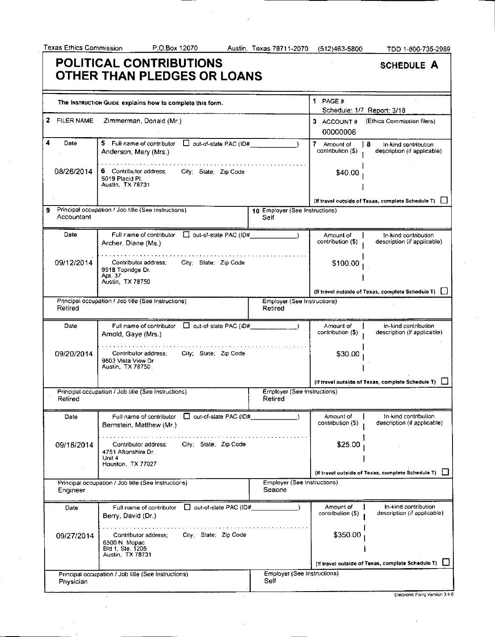SCHEDULE A

|                  | The Instruction Guine explains how to complete this form.                                                    |                                            | 1 PAGE #                            | Schedule: 1/7_Report: 3/18                               |  |  |
|------------------|--------------------------------------------------------------------------------------------------------------|--------------------------------------------|-------------------------------------|----------------------------------------------------------|--|--|
| 2<br>FILER NAME  | Zimmerman, Donald (Mr.)                                                                                      |                                            | 3 ACCOUNT#<br>00000006              | (Ethics Commission filers)                               |  |  |
| 4<br>Date        | 5 Full name of contributor □ out-of-state PAC (ID#<br>Anderson, Mary (Mrs.)                                  |                                            | 7<br>Amount of<br>contribution (\$) | 8<br>In-kind contribution<br>description (if applicable) |  |  |
| 08/26/2014       | and and a strained<br>6 Contributor address;<br>City; State; Zip Code<br>5019 Placid Pl.<br>Austin, TX 78731 |                                            | \$40.00                             |                                                          |  |  |
|                  |                                                                                                              |                                            |                                     | (If travel outside of Texas, complete Schedule T)        |  |  |
| 9.<br>Accountant | Principal occupation / Job title (See Instructions)                                                          | 10 Employer (See Instructions)<br>Self     |                                     |                                                          |  |  |
| Date             | Full name of contributor<br>□ out-of-state PAC (ID#______________)<br>Archer, Diane (Ms.)                    |                                            | Amount of<br>contribution (\$)      | In-kind contribution<br>description (if applicable)      |  |  |
| 09/12/2014       | Contributor address;<br>City; State; Zip Code<br>9518 Topridge Dr.<br>Apt. 37                                |                                            | \$100.00                            |                                                          |  |  |
|                  | Austin, TX 78750                                                                                             |                                            |                                     |                                                          |  |  |
|                  | Principal occupation / Job title (See Instructions)                                                          |                                            |                                     | (If travel outside of Texas, complete Schedule T) [      |  |  |
| Retired          |                                                                                                              | Employer (See Instructions)<br>Retired     |                                     |                                                          |  |  |
| Date             | Full name of contributor   out-of-state PAC (ID#<br>Arnold, Gaye (Mrs.)                                      |                                            | Amount of<br>contribution (\$)      | In-kind contribution<br>description (if applicable)      |  |  |
| 09/20/2014       | Contributor address:<br>City; State; Zip Code<br>9603 Vista View Dr<br>Austin, TX 78750                      |                                            | \$30.00                             |                                                          |  |  |
|                  |                                                                                                              |                                            |                                     | (If travel outside of Texas, complete Schedule T)        |  |  |
| Retired          | Principal occupation / Job title (See Instructions)                                                          | Employer (See Instructions)<br>Retired     |                                     |                                                          |  |  |
| Date             | Out-of-slate PAC (ID#<br>Full name of contributor<br>Bernstein, Matthew (Mr.)                                |                                            | Amount of<br>contribution (\$)      | In-kind contribution<br>description (if applicable)      |  |  |
| 09/18/2014       | Contributor address:<br>City; State; Zip Code<br>4751 Aftonshire Dr.<br>Unit 4                               |                                            | \$25.00                             |                                                          |  |  |
|                  | Houston, TX 77027                                                                                            |                                            |                                     | (If travel outside of Texas, complete Schedule T)        |  |  |
| Engineer         | Principal occupation / Job title (See Instructions)                                                          | Employer (See Instructions)<br>Seaone      |                                     |                                                          |  |  |
| Date             | Full name of contributor   out-of-state PAC (ID#<br>Berry, David (Dr.)                                       |                                            | Amount of<br>contribution (\$)      | In-kind contribution<br>description (if applicable)      |  |  |
| 09/27/2014       | City: State; Zip Code<br>Contributor address:<br>6500 N. Mopac<br>Bld 1, Ste. 1205<br>Austin, TX 78731       |                                            | \$350.00                            |                                                          |  |  |
|                  |                                                                                                              |                                            |                                     | (If travel outside of Texas, complete Schedule T) [      |  |  |
| Physician        | Principal occupation / Job title (See Instructions)                                                          | <b>Employer (See Instructions)</b><br>Self |                                     |                                                          |  |  |
|                  |                                                                                                              |                                            |                                     | Electronic Filing Version 3.4.6                          |  |  |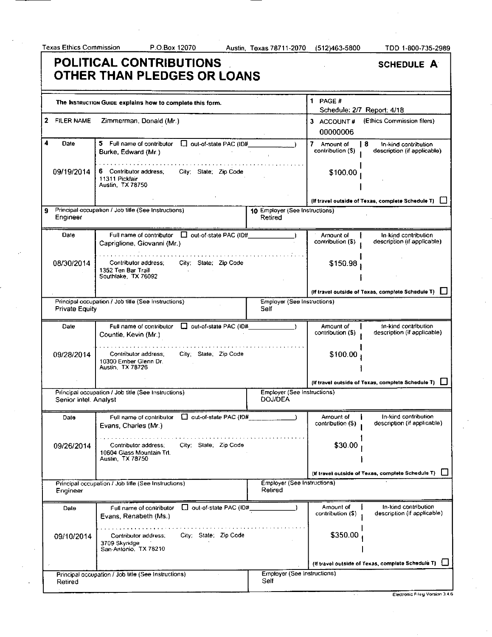SCHEDULE A

# **POLITICAL CONTRIBUTIONS OTHER THAN PLEDGES OR LOANS**

|   |                       | The Instruction Guide explains how to complete this form.                                      |                                            | 1 PAGE $#$                       | Schedule: 2/7 Report: 4/18                                 |  |
|---|-----------------------|------------------------------------------------------------------------------------------------|--------------------------------------------|----------------------------------|------------------------------------------------------------|--|
| 2 | <b>FILER NAME</b>     | Zimmerman, Donald (Mr.)                                                                        |                                            | 3 ACCOUNT#<br>00000006           | (Ethics Commission filers)                                 |  |
| 4 | Date                  | 5<br>Full name of contributor $\Box$ out-of-state PAC (ID#<br>Burke, Edward (Mr.)              |                                            | 7 Amount of<br>contribution (\$) | l 8<br>In-kind contribution<br>description (if applicable) |  |
|   | 09/19/2014            | 6 Contributor address;<br>City: State, Zip Code<br>11311 Pickfair<br>Austin, TX 78750          |                                            | \$100.00                         |                                                            |  |
|   |                       |                                                                                                |                                            |                                  | (If travel outside of Texas, complete Schedule T)          |  |
|   | Engineer              | Principal occupation / Job title (See Instructions)                                            | 10 Employer (See Instructions)<br>Retired  |                                  |                                                            |  |
|   | Date                  | Full name of contributor $\Box$ out-of-state PAC (ID#<br>Capriglione, Giovanni (Mr.)           |                                            | Amount of<br>contribution (\$)   | In-kind contribution<br>description (if applicable)        |  |
|   | 08/30/2014            | Contributor address:<br>City: State: Zip Code<br>1352 Ten Bar Trail<br>Southlake, TX 76092     |                                            | \$150.98                         |                                                            |  |
|   |                       |                                                                                                |                                            |                                  |                                                            |  |
|   |                       | Principal occupation / Job title (See Instructions)                                            | Employer (See Instructions)                |                                  | (If travel outside of Texas, complete Schedule T)          |  |
|   | <b>Private Equity</b> |                                                                                                | Self                                       |                                  |                                                            |  |
|   | Date                  | Full name of contributor   out-of-state PAC (ID#<br>Countie, Kevin (Mr.)                       |                                            | Amount of<br>contribution (\$)   | In-kind contribution<br>description (if applicable)        |  |
|   | 09/28/2014            | City; State, Zip Code<br>Contributor address,<br>10300 Ember Glenn Dr.<br>Austin, TX 78726     |                                            | \$100.00                         |                                                            |  |
|   |                       |                                                                                                |                                            |                                  | (if travel outside of Texas, complete Schedule T) [        |  |
|   | Senior Intel. Analyst | Principal occupation / Job title (See Instructions)                                            | Employer (See Instructions)<br>DOJ/DEA     |                                  |                                                            |  |
|   | Date                  | Out-of-state PAC (ID#<br>Full name of contributor<br>Evans, Charles (Mr.)                      |                                            | Amount of<br>contribution (S)    | In-kind contribution<br>description (if applicable)        |  |
|   | 09/26/2014            | City: State: Zip Code<br>Contributor address:<br>10604 Glass Mountain Trl.<br>Austin, TX 78750 |                                            | \$30.00                          |                                                            |  |
|   |                       |                                                                                                |                                            |                                  | (If travel outside of Texas, complete Schedule T)          |  |
|   | Engineer              | Principal occupation / Job title (See Instructions)                                            | Employer (See Instructions)<br>Retired     |                                  |                                                            |  |
|   | Date                  | □ out-of-state PAC (ID#<br>Full name of contributor<br>Evans, Renabeth (Ms.)                   |                                            | Amount of<br>contribution (\$)   | In-kind contribution<br>description (if applicable)        |  |
|   | 09/10/2014            | City; State; Zip Code<br>Contributor address;<br>3709 Skyridge<br>San Antonio, TX 78210        |                                            | \$350.00                         |                                                            |  |
|   |                       |                                                                                                |                                            |                                  | (If travel outside of Texas, complete Schedule T)          |  |
|   | Retired               | Principal occupation / Job title (See Instructions)                                            | <b>Employer (See Instructions)</b><br>Self |                                  |                                                            |  |
|   |                       |                                                                                                |                                            |                                  | Electronic Filing Version 3.4.6                            |  |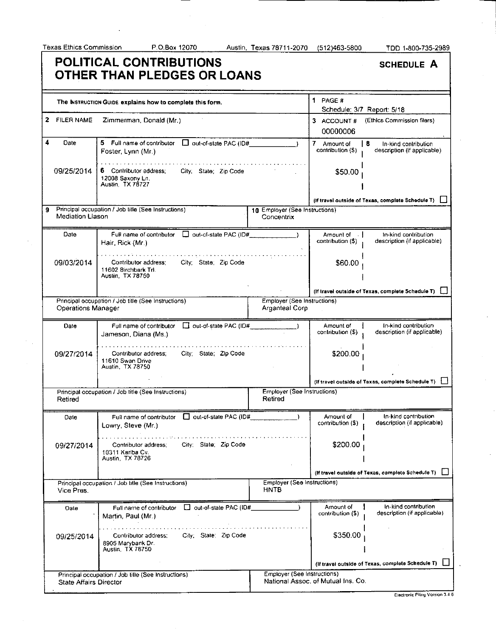| <b>SCHEDULE A</b> |  |
|-------------------|--|
|-------------------|--|

|   |                               | The INSTRUCTION GUIDE explains how to complete this form.                                 |                                              | 1 PAGE #                           | Schedule: 3/7 Report: 5/18                                  |
|---|-------------------------------|-------------------------------------------------------------------------------------------|----------------------------------------------|------------------------------------|-------------------------------------------------------------|
| 2 | <b>FILER NAME</b>             | Zimmerman, Donald (Mr.)                                                                   |                                              | 3 ACCOUNT#<br>00000006             | (Ethics Commission filers)                                  |
| 4 | Date                          | 5 Full name of contributor<br>Jout-of-state PAC (ID#<br>Foster, Lynn (Mr.)                |                                              | 7 Amount of<br>contribution (\$)   | I 8.<br>In-kind contribution<br>description (if applicable) |
|   | 09/25/2014                    | 6 Contributor address;<br>City; State; Zip Code<br>12008 Saxony Ln.<br>Austin, TX 78727   |                                              | \$50.00                            |                                                             |
|   |                               |                                                                                           |                                              |                                    | (if travel outside of Texas, complete Schedule T)           |
|   | Mediation Liason              | Principal occupation / Job title (See Instructions)                                       | 10 Employer (See Instructions)<br>Concentrix |                                    |                                                             |
|   | Date                          | Full name of contributor<br>out-of-state PAC (ID#<br>Hair, Rick (Mr.)                     |                                              | Amount of I<br>contribution (\$)   | In-kind contribution<br>description (if applicable)         |
|   | 09/03/2014                    | City; State; Zip Code<br>Contributor address:<br>11602 Birchbark Tri.<br>Austin, TX 78750 |                                              | \$60.00                            |                                                             |
|   |                               |                                                                                           |                                              |                                    | (If travel outside of Texas, complete Schedule T)           |
|   |                               | Principal occupation / Job title (See Instructions)                                       | Employer (See Instructions)                  |                                    |                                                             |
|   | <b>Operations Manager</b>     |                                                                                           | Arganteal Corp                               |                                    |                                                             |
|   |                               |                                                                                           |                                              |                                    |                                                             |
|   | Date                          | Full name of contributor G out-of-state PAC (ID#___________<br>Jameson, Diana (Ms.)       |                                              | Amount of<br>contribution (\$)     | In-kind contribution<br>description (if applicable)         |
|   | 09/27/2014                    | Contributor address;<br>City; State; Zip Code                                             |                                              | \$200.00                           |                                                             |
|   |                               | 11610 Swan Drive<br>Austin, TX 78750                                                      |                                              |                                    |                                                             |
|   |                               |                                                                                           |                                              |                                    |                                                             |
|   |                               |                                                                                           |                                              |                                    | (If travel outside of Texas, complete Schedule T)           |
|   | Retired                       | Principal occupation / Job title (See Instructions)                                       | Employer (See Instructions)<br>Retired       |                                    |                                                             |
|   | Date                          | out-of-state PAC (ID#<br>Full name of contributor<br>Lowry, Steve (Mr.)                   |                                              | Amount of<br>contribution (\$)     | In-kind contribution<br>description (if applicable)         |
|   | 09/27/2014                    | City; State; Zip Code<br>Contributor address:<br>10311 Kariba Cv.<br>Austin, TX 78726     |                                              | \$200.00                           |                                                             |
|   |                               |                                                                                           |                                              |                                    | (If travel outside of Texas, complete Schedule T)           |
|   |                               |                                                                                           |                                              |                                    |                                                             |
|   | Vice Pres.                    | Principal occupation / Job title (See Instructions)                                       | Employer (See Instructions)<br><b>HNTB</b>   |                                    |                                                             |
|   | Date                          | out-of-state PAC (ID#<br>Full name of contributor<br>Martin, Paul (Mr.)                   |                                              | Amount of<br>contribution (\$)     | In-kind contribution<br>description (if applicable)         |
|   | 09/25/2014                    | City; State; Zip Code<br>Contributor address:<br>8905 Marybank Dr.<br>Austin, TX 78750    |                                              | \$350.00                           |                                                             |
|   |                               |                                                                                           |                                              |                                    | (If travel outside of Texas, complete Schedule T)           |
|   |                               |                                                                                           |                                              |                                    |                                                             |
|   | <b>State Affairs Director</b> | Principal occupation / Job title (See Instructions)                                       | Employer (See Instructions)                  | National Assoc, of Mutual Ins. Co. |                                                             |

Electronic Filing Vorsion 3.4.6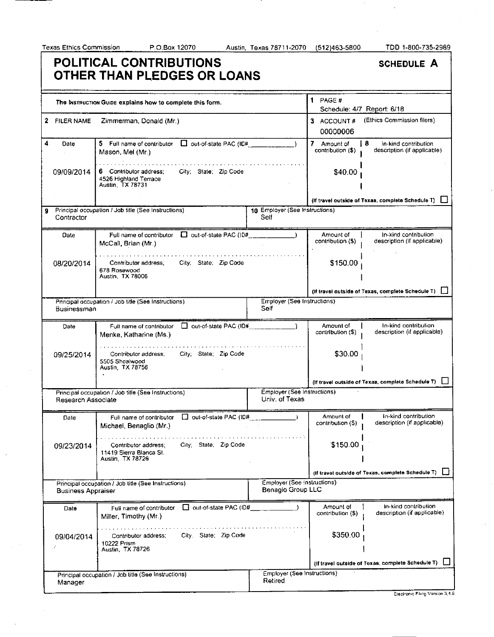SCHEDULE A

# **POLITICAL CONTRIBUTIONS OTHER THAN PLEDGES OR LOANS**

|      |                           | The INSTRUCTION GUIDE explains how to complete this form.                                                        |                                                      | 1 PAGE #                            | Schedule: 4/7 Report: 6/18                                 |  |
|------|---------------------------|------------------------------------------------------------------------------------------------------------------|------------------------------------------------------|-------------------------------------|------------------------------------------------------------|--|
|      | <b>FILER NAME</b>         | Zimmerman, Donald (Mr.)                                                                                          |                                                      | 3 ACCOUNT#<br>00000006              | (Ethics Commission filers)                                 |  |
| Date |                           | 5 Full name of contributor I out-of-state PAC (ID#<br>Mason, Mel (Mr.)                                           |                                                      | 7<br>Amount of<br>contribution (\$) | I 8<br>In-kind contribution<br>description (if applicable) |  |
|      | 09/09/2014                | Contributor address;<br>City; State; Zip Code<br>4526 Highland Terrace<br>Austin, TX 78731                       |                                                      | \$40.00                             |                                                            |  |
|      |                           |                                                                                                                  |                                                      |                                     | (If travel outside of Texas, complete Schedule T) [        |  |
|      | Contractor                | Principal occupation / Job title (See Instructions)                                                              | 10 Employer (See Instructions)<br>Self               |                                     |                                                            |  |
| Date |                           | Full name of contributor   out-of-state PAC (ID#__________<br>McCall, Brian (Mr.)                                |                                                      | Amount of<br>contribution (\$)      | In-kind contribution<br>description (if applicable)        |  |
|      | 08/20/2014                | Contributor address;<br>City; State: Zip Code<br>678 Rosewood<br>Austin, TX 78006                                |                                                      | \$150.00                            |                                                            |  |
|      |                           |                                                                                                                  |                                                      |                                     | (if travel outside of Texas, complete Schedule T)          |  |
|      | Businessman               | Principal occupation / Job title (See Instructions)                                                              | Employer (See Instructions)<br>Self                  |                                     |                                                            |  |
| Date |                           | out-of-state PAC (ID#<br>Full name of contributor<br>Menke, Katharine (Ms.)                                      |                                                      | Amount of<br>contribution (\$)      | In-kind contribution<br>description (if applicable)        |  |
|      | 09/25/2014                | Contributor address;<br>City; State; Zip Code<br>5505 Shoalwood<br>Austin TX 78756                               |                                                      | \$30.00                             |                                                            |  |
|      |                           |                                                                                                                  |                                                      |                                     | (If travel outside of Texas, complete Schedule T) [        |  |
|      | <b>Research Associate</b> | Principal occupation / Job title (See Instructions)                                                              | <b>Employer (See Instructions)</b><br>Univ: of Texas |                                     |                                                            |  |
| Date |                           | $\Box$ out-of-state PAC (ID#_____________)<br>Full name of contributor<br>Michael, Benaglio (Mr.)                |                                                      | Amount of<br>contribution (\$)      | In-kind contribution<br>description (if applicable)        |  |
|      | 09/23/2014                | . <i>. . . .</i><br>City; State: Zip Code<br>Contributor address;<br>11419 Sierra Blanca St.<br>Austin, TX 78726 |                                                      | \$150.00                            |                                                            |  |
|      |                           |                                                                                                                  |                                                      |                                     | (If travel outside of Texas, complete Schedule T)          |  |
|      | <b>Business Appraiser</b> | Principal occupation / Job title (See Instructions)                                                              | Employer (See Instructions)<br>Benagio Group LLC     |                                     |                                                            |  |
|      | Date                      | out-of-state PAC (ID#<br>Full name of contributor<br>Miller, Timothy (Mr.)                                       |                                                      | Amount of<br>contribution (S)       | In-kind contribution<br>description (if applicable)        |  |
|      | 09/04/2014                | City, State; Zip Code<br>Contributor address;<br>10222 Prism<br>Austin, TX 78726                                 |                                                      | \$350.00                            |                                                            |  |
|      |                           |                                                                                                                  |                                                      |                                     | (if travel outside of Texas, complete Schedule T)          |  |
|      | Manager                   | Principal occupation / Job title (See Instructions)                                                              | Employer (See Instructions)<br>Retired               |                                     |                                                            |  |
|      |                           |                                                                                                                  |                                                      |                                     | Electronic Filing Varsion 3.4.6                            |  |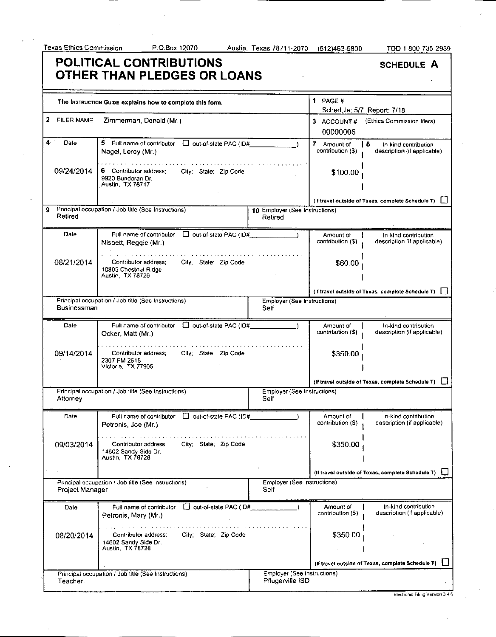|  | <b>SCHEDULE A</b> |  |
|--|-------------------|--|

|                        | The INSTRUCTION GUIDE explains how to complete this form.                                 |                                           | 1 PAGE#                          | Schedule: 5/7 Report: 7/18                                        |
|------------------------|-------------------------------------------------------------------------------------------|-------------------------------------------|----------------------------------|-------------------------------------------------------------------|
| 2<br><b>FILER NAME</b> | Zimmerman, Donald (Mr.)                                                                   |                                           | 3 ACCOUNT#<br>00000006           | (Ethics Commission filers)                                        |
| 4<br>Date              | 5 Full name of contributor   out-of-state PAC (ID#<br>Nagel, Leroy (Mr.)                  |                                           | 7 Amount of<br>contribution (\$) | 18<br>In-kind contribution<br>description (if applicable)         |
| 09/24/2014             | 6 Contributor address:<br>City; State: Zip Code<br>9920 Bundoran Dr.<br>Austin, TX 78717  |                                           | \$100.00                         |                                                                   |
|                        |                                                                                           |                                           |                                  | (if travel outside of Texas, complete Schedule T)                 |
| 9<br>Retired           | Principal occupation / Job title (See Instructions)                                       | 10 Employer (See Instructions)<br>Retired |                                  |                                                                   |
| Date                   | Full name of contributor<br>$\Box$ out-of-state PAC (ID#<br>Nisbett, Reggie (Mr.)         |                                           | Amount of<br>contribution (\$)   | In-kind contribution<br>description (if applicable)               |
| 08/21/2014             | Contributor address;<br>City; State; Zip Code<br>10805 Chestnut Ridge<br>Austin, TX 78726 |                                           | \$60.00                          |                                                                   |
|                        |                                                                                           |                                           |                                  | (If travel outside of Texas, complete Schedule T)                 |
|                        | Principal occupation / Job title (See Instructions)                                       | Employer (See Instructions)               |                                  |                                                                   |
| <b>Businessman</b>     |                                                                                           | Self                                      |                                  |                                                                   |
| Date                   | Full name of contributor   out-of-state PAC (ID#<br>Ocker, Matt (Mr.)                     |                                           | Amount of<br>contribution (\$)   | In-kind contribution<br>description (if applicable)               |
| 09/14/2014             | Contributor address;<br>City; State; Zip Code<br>2307 FM 2615<br>Victoria, TX 77905       |                                           | \$350.00                         |                                                                   |
|                        |                                                                                           |                                           |                                  | (If travel outside of Texas, complete Schedule T)                 |
| Attorney               | Principal occupation / Job title (See Instructions)                                       | Employer (See Instructions)<br>Self       |                                  |                                                                   |
| Date                   | Full name of contributor   out-of-state PAC (ID#<br>Petronis, Joe (Mr.)                   |                                           | Amount of<br>contribution (\$)   | In-kind contribution<br>description (if applicable)               |
| 09/03/2014             | City; State; Zip Code<br>Contributor address;<br>14602 Sandy Side Dr.<br>Austin, TX 78728 |                                           | \$350.00                         |                                                                   |
|                        |                                                                                           |                                           |                                  | (If travel outside of Texas, complete Schedule T)<br>$\mathbf{1}$ |
| Project Manager        | Principal occupation / Job title (See Instructions)                                       | Employer (See Instructions)<br>Self       |                                  |                                                                   |
| Date                   | out-of-state PAC (ID#<br>Full name of contributor<br>Petronis, Mary (Mr.)                 |                                           | Amount of<br>contribution (\$)   | In-kind contribution<br>description (if applicable)               |
| 08/20/2014             | City; State; Zip Code<br>Contributor address;<br>14602 Sandy Side Dr.<br>Austin, TX 78728 |                                           | \$350.00                         |                                                                   |
|                        |                                                                                           |                                           |                                  | (If travel outside of Texas, complete Schedule T)                 |
|                        | Principal occupation / Job title (See Instructions)                                       | Employer (See Instructions)               |                                  |                                                                   |
| Teacher.               |                                                                                           | Pflugerville ISD                          |                                  |                                                                   |

Eieclronic Filing Version 3.4 6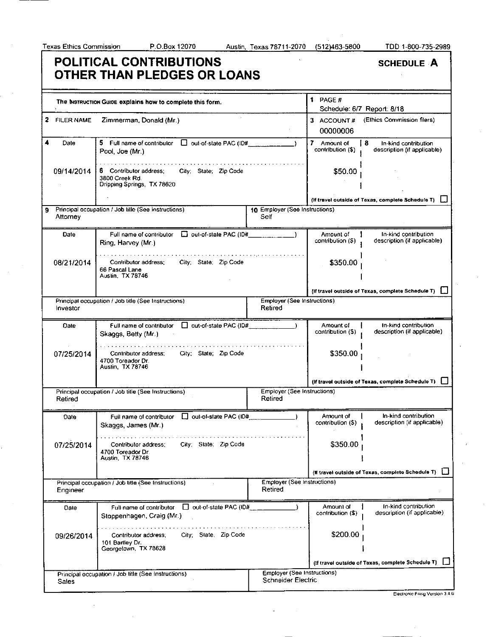$\ddot{\phantom{a}}$ 

SCHEDULE A

 $\bar{\mathcal{A}}$ 

### **POLITICAL CONTRIBUTIONS OTHER THAN PLEDGES OR LOANS**

|   |                   | The INSTRUCTION GUIDE explains how to complete this form.                                     |                                               | $1$ PAGE#                           | Schedule: 6/7 Report: 8/18                                 |
|---|-------------------|-----------------------------------------------------------------------------------------------|-----------------------------------------------|-------------------------------------|------------------------------------------------------------|
| 2 | <b>FILER NAME</b> | Zimmerman, Donald (Mr.)                                                                       |                                               | 3 ACCOUNT#<br>00000006              | (Ethics Commission filers)                                 |
|   | Date              | 5 Full name of contributor $\Box$ out-of-state PAC (ID#<br>Pool, Joe (Mr.)                    |                                               | 7<br>Amount of<br>contribution (\$) | I 8<br>In-kind contribution<br>description (if applicable) |
|   | 09/14/2014        | City: State; Zip Code<br>Contributor address:<br>3800 Creek Rd.<br>Dripping Springs, TX 78620 |                                               | \$50.00                             |                                                            |
|   |                   |                                                                                               |                                               |                                     | (if travel outside of Texas, complete Schedule T)          |
|   | Attorney          | Principal occupation / Job title (See Instructions)                                           | 10 Employer (See Instructions)<br>Self        |                                     |                                                            |
|   | Date              | Full name of contributor   out-of-state PAC (ID#<br>Ring, Harvey (Mr.)                        |                                               | Amount of<br>contribution (\$)      | In-kind contribution<br>description (if applicable)        |
|   | 08/21/2014        | Contributor address;<br>City: State: Zip Code<br>66 Pascal Lane<br>Austin, TX 78746           |                                               | \$350.00                            |                                                            |
|   |                   |                                                                                               |                                               |                                     | (If travel outside of Texas, complete Schedule T)          |
|   | Investor          | Principal occupation / Job title (See Instructions)                                           | Employer (See Instructions)<br>Retired        |                                     |                                                            |
|   | Date              | $\Box$ out-of-state PAC (ID#<br>Full name of contributor<br>Skaggs, Betty (Mr.)               |                                               | Amount of<br>contribution (\$)      | In-kind contribution<br>description (if applicable)        |
|   | 07/25/2014        | Contributor address;<br>City State Zip Code<br>4700 Toreador Dr.<br>Austin, TX 78746          |                                               | \$350.00                            |                                                            |
|   |                   |                                                                                               |                                               |                                     | (If travel outside of Texas, complete Schedule T)          |
|   |                   | Principal occupation / Job title (See Instructions)                                           | Employer (See Instructions)                   |                                     |                                                            |
|   | Retired           |                                                                                               | Retired                                       |                                     |                                                            |
|   | Date              | Full name of contributor   out-of-state PAC (ID#<br>Skaggs, James (Mr.)                       |                                               | Amount of<br>contribution (\$)      | In-kind contribution<br>description (if applicable)        |
|   | 07/25/2014        | City: State: Zip Code<br>Contributor address;<br>4700 Toreador Dr.<br>Austin, TX 78746        |                                               | \$350.00                            |                                                            |
|   |                   |                                                                                               |                                               |                                     | (If travel outside of Texas, complete Schedule T)          |
|   | Engineer          | Principal occupation / Job title (See Instructions)                                           | <b>Employer (See Instructions)</b><br>Retired |                                     |                                                            |
|   | Date              | □ out-of-state PAC (ID#<br>Full name of contributor<br>Stoppenhagen, Craig (Mr.)              |                                               | Amount of<br>contribution (\$)      | In-kind contribution<br>description (if applicable)        |
|   | 09/26/2014        | City: State: Zip Code<br>Contributor address;<br>101 Bartley Dr.<br>Georgetown, TX 78628      |                                               | \$200.00                            |                                                            |
|   |                   |                                                                                               |                                               |                                     | (If travel outside of Texas, complete Schedule T)          |
|   |                   | Principal occupation / Job title (See Instructions)                                           | <b>Employer (See Instructions)</b>            |                                     |                                                            |
|   | Sales             |                                                                                               | Schneider Electric                            |                                     |                                                            |

Electronic Filing Version 3.4,6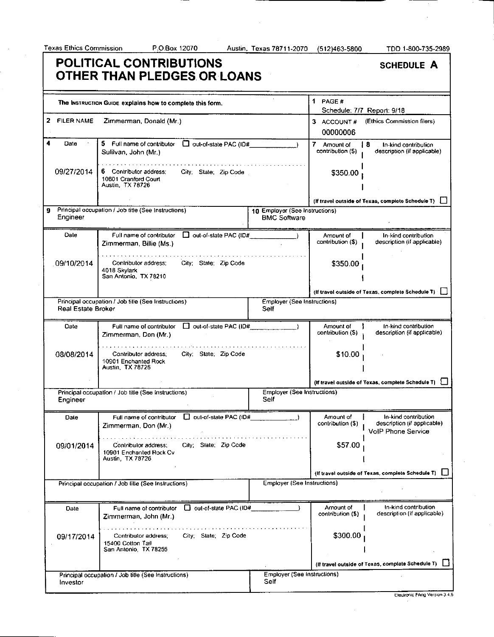SCHEDULE A

|                                                                                  | The INSTRUCTION GUIDE explains how to complete this form.                                    |                                                       | 1 PAGE $#$                          |                                                                           |  |  |
|----------------------------------------------------------------------------------|----------------------------------------------------------------------------------------------|-------------------------------------------------------|-------------------------------------|---------------------------------------------------------------------------|--|--|
|                                                                                  |                                                                                              |                                                       |                                     | Schedule: 7/7 Report: 9/18                                                |  |  |
| 2<br><b>FILER NAME</b>                                                           | Zimmerman, Donald (Mr.)                                                                      |                                                       | 3 ACCOUNT#<br>00000006              | (Ethics Commission filers)                                                |  |  |
| Date                                                                             | 5 Full name of contributor<br>O out-of-state PAC (ID#<br>Sulilvan, John (Mr.)                |                                                       | 7<br>Amount of<br>contribution (\$) | 8<br>In-kind contribution<br>description (if applicable)                  |  |  |
| 09/27/2014                                                                       | Contributor address:<br>City: State, Zip Code<br>10601 Cranford Court<br>Austin, TX 78726    |                                                       | \$350.00                            |                                                                           |  |  |
|                                                                                  |                                                                                              |                                                       |                                     | (If travel outside of Texas, complete Schedule T)                         |  |  |
| 9<br>Engineer                                                                    | Principal occupation / Job title (See Instructions)                                          | 10 Employer (See Instructions)<br><b>BMC Software</b> |                                     |                                                                           |  |  |
| <b>Dale</b>                                                                      | Full name of contributor<br>Out-of-state PAC (ID#____________<br>Zimmerman, Billie (Ms.)     |                                                       | Amount of<br>contribution (\$)      | In-kind contribution<br>description (if applicable)                       |  |  |
| 09/10/2014                                                                       | Contributor address:<br>City; State; Zip Code<br>4018 Skylark<br>San Antonio, TX 78210       |                                                       | \$350.00                            |                                                                           |  |  |
|                                                                                  |                                                                                              |                                                       |                                     | (If travel outside of Texas, complete Schedule T)                         |  |  |
| Principal occupation / Job title (See Instructions)<br><b>Real Estate Broker</b> |                                                                                              | <b>Employer (See Instructions)</b><br>Self            |                                     |                                                                           |  |  |
| Date                                                                             | Full name of contributor   out-of-state PAC (ID#<br>Zimmerman, Don (Mr.)                     |                                                       | Amount of<br>contribution (\$)      | In-kind contribution<br>description (if applicable)                       |  |  |
| 08/08/2014                                                                       | City; State; Zip Code<br>Contributor address;<br>10901 Enchanted Rock<br>Austin, TX 78726    |                                                       | \$10.00                             |                                                                           |  |  |
|                                                                                  |                                                                                              |                                                       |                                     | (If travel outside of Texas, complete Schedule T)                         |  |  |
| Engineer                                                                         | Principal occupation / Job title (See Instructions)                                          | <b>Employer (See Instructions)</b><br>Self            |                                     |                                                                           |  |  |
| Date                                                                             | out-of-state PAC (ID#<br>Full name of contributor<br>Zimmerman, Don (Mr.)                    |                                                       | Amount of<br>contribution (S)       | In-kind contribution<br>description (if applicable)<br>VolP Phone Service |  |  |
| 09/01/2014                                                                       | Contributor address;<br>City; State; Zip Code<br>10901 Enchanted Rock Cv<br>Austin, TX 78726 |                                                       | \$57.00                             |                                                                           |  |  |
|                                                                                  |                                                                                              |                                                       |                                     | (If travel outside of Texas, complete Schedule T)                         |  |  |
|                                                                                  | Principal occupation / Job title (See Instructions)                                          | <b>Employer (See Instructions)</b>                    |                                     |                                                                           |  |  |
| Date                                                                             | out-of-state PAC (ID#<br>Full name of contributor<br>Zimmerman, John (Mr.)                   |                                                       | Amount of<br>contribution (\$)      | In-kind contribution<br>description (if applicable)                       |  |  |
| 09/17/2014                                                                       | City; State; Zip Code<br>Contributor address:<br>15400 Cotton Tail<br>San Antonio, TX 78255  |                                                       | \$300.00                            |                                                                           |  |  |
|                                                                                  |                                                                                              |                                                       |                                     | (If travel outside of Texas, complete Schedule T)                         |  |  |
| Investor                                                                         | Principal occupation / Job title (See Instructions)                                          | <b>Employer (See Instructions)</b><br>Self            |                                     |                                                                           |  |  |
|                                                                                  |                                                                                              |                                                       |                                     | Electronic Filing Version 3.4.6                                           |  |  |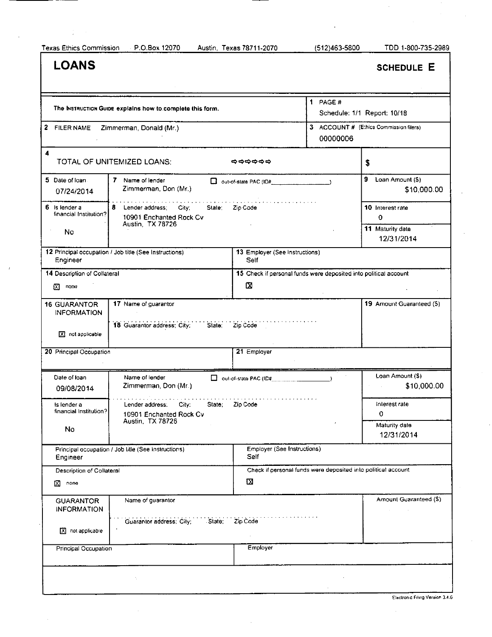÷

 $\bar{z}$ 

| <b>LOANS</b>                                                  |                                                                                         |                                                                       |                                        | <b>SCHEDULE E</b>                      |
|---------------------------------------------------------------|-----------------------------------------------------------------------------------------|-----------------------------------------------------------------------|----------------------------------------|----------------------------------------|
|                                                               | The INSTRUCTION GUIDE explains how to complete this form.                               |                                                                       | 1 PAGE#<br>Schedule: 1/1 Report: 10/18 |                                        |
| 2<br><b>FILER NAME</b><br>Zimmerman, Donald (Mr.)             |                                                                                         |                                                                       | 00000006                               | 3 ACCOUNT # (Ethics Commission filers) |
| 4                                                             | TOTAL OF UNITEMIZED LOANS:                                                              | つつつつつつ                                                                |                                        | \$                                     |
| 5 Date of loan<br>07/24/2014                                  | 7 Name of lender<br>Zimmerman, Don (Mr.)                                                |                                                                       |                                        | 9.<br>Loan Amount (\$)<br>\$10,000.00  |
| 6<br>Is lender a<br>financial Institution?                    | 8.<br>Lender address;<br>City,<br>State;<br>10901 Enchanted Rock Cv<br>Austin, TX 78726 | Zip Code                                                              |                                        | 10 Interest rate<br>$\Omega$           |
| No                                                            |                                                                                         |                                                                       |                                        | 11 Maturity date<br>12/31/2014         |
| Engineer                                                      | 12 Principal occupation / Job title (See Instructions)                                  | 13 Employer (See Instructions)<br>Self                                |                                        |                                        |
| 14 Description of Collateral<br>none<br>ſΧI                   |                                                                                         | 15 Check if personal funds were deposited into political account<br>⊠ |                                        |                                        |
| <b>16 GUARANTOR</b><br><b>INFORMATION</b><br>X not applicable | 17 Name of guarantor<br>18 Guarantor address; City;<br>State:                           | Zip Code                                                              |                                        | 19 Amount Guaranteed (\$)              |
| 20 Principal Occupation                                       |                                                                                         | 21 Employer                                                           |                                        |                                        |
| Date of loan<br>09/08/2014                                    | Name of lender<br>Zimmerman, Don (Mr.)                                                  | out-of-state PAC (ID#                                                 |                                        | Loan Amount (\$)<br>\$10,000.00        |
| is lender a<br>financial Institution?                         | Lender address:<br>City:<br>State:<br>10901 Enchanted Rock Cv                           | Zip Code                                                              |                                        | Interest rate<br>$\Omega$              |
| <b>No</b>                                                     | Austin, TX 78726                                                                        |                                                                       |                                        | Maturity date<br>12/31/2014            |
| Engineer                                                      | Principal occupation / Job little (See Instructions)                                    | Employer (See Instructions)<br>Self                                   |                                        |                                        |
| Description of Collateral<br>none<br>⊠                        |                                                                                         | Check if personal funds were deposited into political account<br>⊠    |                                        |                                        |
| <b>GUARANTOR</b><br><b>INFORMATION</b>                        | Name of guarantor                                                                       |                                                                       |                                        | Amount Guaranteed (\$)                 |
| $X$ not applicable                                            | Guarantor address: City:<br>State:                                                      | Zip Code                                                              |                                        |                                        |
| Principal Occupation                                          |                                                                                         | Employer                                                              |                                        |                                        |
|                                                               |                                                                                         |                                                                       |                                        |                                        |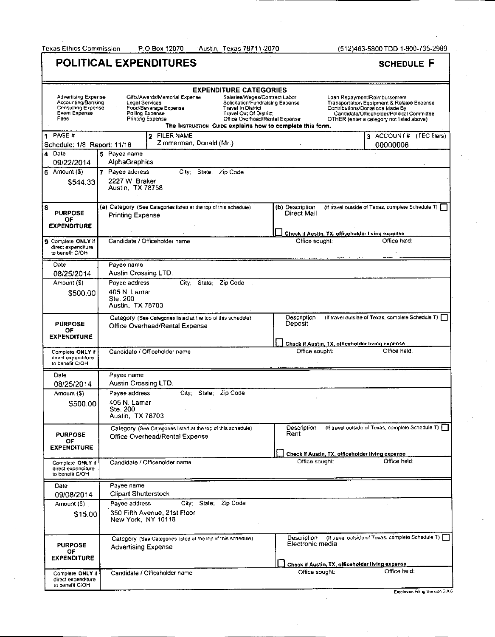| <b>Texas Ethics Commission</b>                                                           | P.O.Box 12070<br>Austin, Texas 78711-2070<br>POLITICAL EXPENDITURES                                                                                                                                                                                                  | (512)463-5800 TDD 1-800-735-2989<br><b>SCHEDULE F</b>                                                                                                                                                                                                                                                           |
|------------------------------------------------------------------------------------------|----------------------------------------------------------------------------------------------------------------------------------------------------------------------------------------------------------------------------------------------------------------------|-----------------------------------------------------------------------------------------------------------------------------------------------------------------------------------------------------------------------------------------------------------------------------------------------------------------|
| Advertising Expense<br>Accounting/Banking<br>Consulting Expense<br>Event Expense<br>Fees | <b>EXPENDITURE CATEGORIES</b><br>Gifts/Awards/Memorial Expense<br>Legal Services<br>Food/Beverage Expense<br>Travel In District<br>Polling Expense<br><b>Travel Out Of District</b><br>Printing Expense<br>The INSTRUCTION GUIDE explains how to complete this form. | Salaries/Wages/Contract Labor<br>Loan Repayment/Reimbursement<br>Solicitation/Fundraising Expense<br>Transportation Equipment & Related Expense<br>Contributions/Donations Made By<br>Candidate/Officeholder/Political Committee<br>Office Overhead/Rental Expense<br>OTHER (enter a category not listed above) |
| $\blacksquare$<br>PAGE #<br>Schedule: 1/8 Report: 11/18                                  | <b>FILER NAME</b><br>Zimmerman, Donald (Mr.)                                                                                                                                                                                                                         | 3 ACCOUNT# (TEC filers)<br>00000006                                                                                                                                                                                                                                                                             |
| Date<br>09/22/2014                                                                       | 5 Payee name<br>AlphaGraphics                                                                                                                                                                                                                                        |                                                                                                                                                                                                                                                                                                                 |
| 6 Amount (\$)<br>\$544.33                                                                | 7 Payee address<br>City; State; Zip Code<br>2227 W Braker<br>Austin, TX 78758                                                                                                                                                                                        |                                                                                                                                                                                                                                                                                                                 |
| l 8<br><b>PURPOSE</b><br>OF<br><b>EXPENDITURE</b>                                        | (a) Category (See Categories listed at the top of this schedule)<br><b>Printing Expense</b>                                                                                                                                                                          | (b) Description<br>(If travel outside of Texas, complete Schedule T)<br>Direct Mail                                                                                                                                                                                                                             |
| 9 Complete ONLY if<br>direct expenditure<br>to benefit C/OH                              | Candidate / Officeholder name                                                                                                                                                                                                                                        | Check if Austin, TX, officeholder living expense<br>Office held:<br>Office sought:                                                                                                                                                                                                                              |
| Date<br>08/25/2014<br>Amount (S)                                                         | Payee name<br>Austin Crossing LTD.<br>Pavee address<br>City:<br>State: Zip Code                                                                                                                                                                                      |                                                                                                                                                                                                                                                                                                                 |
| \$500.00                                                                                 | 405 N. Lamar<br>Ste. 200<br>Austin, TX 78703                                                                                                                                                                                                                         |                                                                                                                                                                                                                                                                                                                 |
| <b>PURPOSE</b><br>٥F<br><b>EXPENDITURE</b>                                               | Category. (See Categories listed at the top of this schedule)<br>Office Overhead/Rental Expense                                                                                                                                                                      | (If travel outside of Texas, complete Schedule T)  <br>Description<br>Deposit<br>Check if Austin, TX, officeholder living expense                                                                                                                                                                               |
| Complete ONLY if<br>direct expenditure<br>to benefit C/OH                                | Candidate / Officeholder name                                                                                                                                                                                                                                        | Office sought:<br>Office held:                                                                                                                                                                                                                                                                                  |
| Date<br>08/25/2014                                                                       | Payee name<br>Austin Crossing LTD.                                                                                                                                                                                                                                   |                                                                                                                                                                                                                                                                                                                 |
| Amount (\$)<br>\$500.00                                                                  | City: State: Zip Code<br>Payee address<br>405 N. Lamar<br>Ste. 200<br>Austin, TX 78703                                                                                                                                                                               |                                                                                                                                                                                                                                                                                                                 |
| <b>PURPOSE</b><br>OF<br><b>EXPENDITURE</b>                                               | Category (See Categories listed at the top of this schedule)<br>Office Overhead/Rental Expense                                                                                                                                                                       | (If travel outside of Texas, complete Schedule T) [<br>Description<br>Rent<br>Check if Austin, TX, officeholder living expense                                                                                                                                                                                  |
| Complete ONLY if<br>direct expenditure<br>to benefit C/OH                                | Candidate / Officeholder name                                                                                                                                                                                                                                        | Office held:<br>Office sought:                                                                                                                                                                                                                                                                                  |
| Date<br>09/08/2014                                                                       | Payee name<br><b>Clipart Shutterstock</b>                                                                                                                                                                                                                            |                                                                                                                                                                                                                                                                                                                 |
| Amount (\$)<br>\$15.00                                                                   | City: State: Zip Code<br>Payee address<br>350 Fifth Avenue, 21st Floor<br>New York, NY 10118                                                                                                                                                                         |                                                                                                                                                                                                                                                                                                                 |
| <b>PURPOSE</b><br>OF<br><b>EXPENDITURE</b>                                               | Category (See Categories listed at the top of this schedule).<br><b>Advertising Expense</b>                                                                                                                                                                          | (If travel outside of Texas, complete Schedule T) [<br>Description<br>Electronic media                                                                                                                                                                                                                          |
| Complete ONLY if<br>direct expenditure<br>to benefit C/OH                                | Candidate / Officeholder name                                                                                                                                                                                                                                        | Check if Austin, TX, officeholder living expense<br>Office held:<br>Office sought:                                                                                                                                                                                                                              |

Electronic Filing Version 3.4.6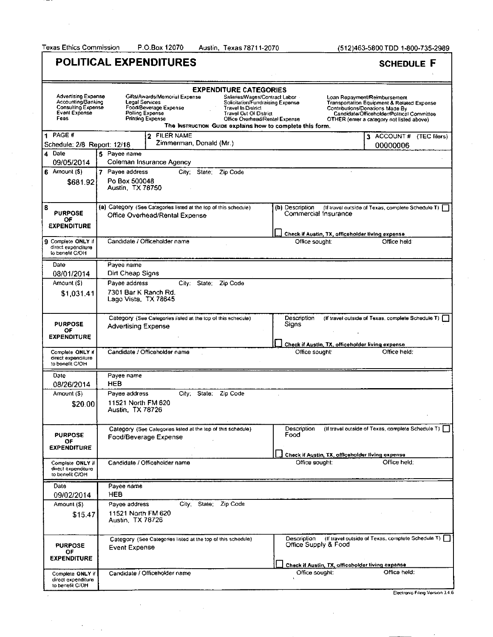÷.

Texas Ethics Commission P.O.Box 12070 Austin, Texas 78711-2070 (512)463-5800 TDD 1-800-735-2989

|                                                                                                        | POLITICAL EXPENDITURES                                                                                                                                                                                                                                                                                                                            | <b>SCHEDULE F</b>                                                                                                                                                                                        |
|--------------------------------------------------------------------------------------------------------|---------------------------------------------------------------------------------------------------------------------------------------------------------------------------------------------------------------------------------------------------------------------------------------------------------------------------------------------------|----------------------------------------------------------------------------------------------------------------------------------------------------------------------------------------------------------|
|                                                                                                        | <b>EXPENDITURE CATEGORIES</b>                                                                                                                                                                                                                                                                                                                     |                                                                                                                                                                                                          |
| <b>Advertising Expense</b><br>Accounting/Banking<br><b>Consulting Expense</b><br>Event Expense<br>Fees | Gifts/Awards/Memorial Expense<br>Salaries/Wages/Contract Labor<br>Legal Services<br>Solicitation/Fundraising Expense<br>Food/Beverage Expense<br><b>Travel In District</b><br>Polling Expense<br>Travel Out Of District<br><b>Printing Expense</b><br>Office Overhead/Rental Expense<br>The INSTRUCTION GUIDE explains how to complete this form. | Loan Repayment/Reimbursement<br>Transportation Equipment & Related Expense<br>Contributions/Donations Made By<br>Candidate/Officeholder/Political Committee<br>OTHER (enter a category not listed above) |
| $1$ PAGE #                                                                                             | <b>FILER NAME</b><br>2                                                                                                                                                                                                                                                                                                                            | 3 ACCOUNT # (TEC filers)                                                                                                                                                                                 |
| Schedule: 2/8 Report: 12/18<br>4 Date                                                                  | Zimmerman, Donald (Mr.)<br>5 Payee name                                                                                                                                                                                                                                                                                                           | 00000006                                                                                                                                                                                                 |
| 09/05/2014                                                                                             | Coleman Insurance Agency                                                                                                                                                                                                                                                                                                                          |                                                                                                                                                                                                          |
| $6$ Amount $(5)$<br>\$681.92                                                                           | 7 Payee address<br>City; State; Zip Code<br>Po Box 500048<br>Austin, TX 78750                                                                                                                                                                                                                                                                     |                                                                                                                                                                                                          |
| 8<br><b>PURPOSE</b>                                                                                    | (a) Category (See Categories listed at the top of this schedule)<br>(b) Description<br>Commercial Insurance<br>Office Overhead/Rental Expense                                                                                                                                                                                                     | (if travel outside of Texas, complete Schedule T)                                                                                                                                                        |
| ОF<br><b>EXPENDITURE</b>                                                                               |                                                                                                                                                                                                                                                                                                                                                   |                                                                                                                                                                                                          |
|                                                                                                        | Check if Austin, TX, officeholder living expense                                                                                                                                                                                                                                                                                                  |                                                                                                                                                                                                          |
| 9 Complete ONLY if<br>direct expenditure<br>to benefit C/OH                                            | Candidate / Officeholder name<br>Office sought:                                                                                                                                                                                                                                                                                                   | Office held:                                                                                                                                                                                             |
| Date                                                                                                   | Payee name                                                                                                                                                                                                                                                                                                                                        |                                                                                                                                                                                                          |
| 08/01/2014                                                                                             | Dirt Cheap Signs                                                                                                                                                                                                                                                                                                                                  |                                                                                                                                                                                                          |
| Amount (S)<br>\$1,031.41                                                                               | Payee address<br>City: State: Zip Code<br>7301 Bar K Ranch Rd.<br>Lago Vista, TX 78645                                                                                                                                                                                                                                                            |                                                                                                                                                                                                          |
| <b>PURPOSE</b><br>OF                                                                                   | Description<br>Category (See Categories listed at the top of this schedule)<br>Signs<br><b>Advertising Expense</b>                                                                                                                                                                                                                                | (If travel outside of Texas, complete Schedule T)                                                                                                                                                        |
| <b>EXPENDITURE</b>                                                                                     | Check if Austin, TX, officeholder living expense                                                                                                                                                                                                                                                                                                  |                                                                                                                                                                                                          |
| Complete ONLY if<br>direct expenditure<br>to benefit C/OH                                              | Candidate / Officeholder name<br>Office sought:                                                                                                                                                                                                                                                                                                   | Office held:                                                                                                                                                                                             |
| Date                                                                                                   | Payee name                                                                                                                                                                                                                                                                                                                                        |                                                                                                                                                                                                          |
| 08/26/2014<br>Amount (S)                                                                               | HEB<br>City; State: Zip Code<br>Payee address                                                                                                                                                                                                                                                                                                     |                                                                                                                                                                                                          |
| \$20.00                                                                                                | 11521 North FM 620<br>Austin, TX 78726                                                                                                                                                                                                                                                                                                            |                                                                                                                                                                                                          |
| <b>PURPOSE</b><br>OF<br><b>EXPENDITURE</b>                                                             | Description<br>Category (See Categories listed at the top of this schedule).<br>Food<br>Food/Beverage Expense<br>Check if Austin, TX, officeholder living expense                                                                                                                                                                                 | (if travel outside of Texas, complete Schedule T)                                                                                                                                                        |
| Complete ONLY if<br>direct expenditure<br>to benefit C/OH                                              | Office sought:<br>Candidate / Officeholder name                                                                                                                                                                                                                                                                                                   | Office held:                                                                                                                                                                                             |
| Date<br>09/02/2014                                                                                     | Payee name<br>HEB                                                                                                                                                                                                                                                                                                                                 |                                                                                                                                                                                                          |
| Amount (\$)                                                                                            | City; State; Zip Code<br>Payee address                                                                                                                                                                                                                                                                                                            |                                                                                                                                                                                                          |
| \$15.47                                                                                                | 11521 North FM 620<br>Austin, TX 78726                                                                                                                                                                                                                                                                                                            |                                                                                                                                                                                                          |
| <b>PURPOSE</b><br>OF.<br><b>EXPENDITURE</b>                                                            | Description<br>Category (See Categories listed at the top of this schedule)<br>Office Supply & Food<br>Event Expense<br>Check if Austin, TX, officeholder living expense                                                                                                                                                                          | (If travel outside of Texas, complete Schedule T) [                                                                                                                                                      |
| Complete ONLY if<br>direct expenditure<br>to benefit C/OH                                              | Office sought:<br>Candidate / Officeholder name                                                                                                                                                                                                                                                                                                   | Office held:<br>Electronic Filing Version 3.4.6                                                                                                                                                          |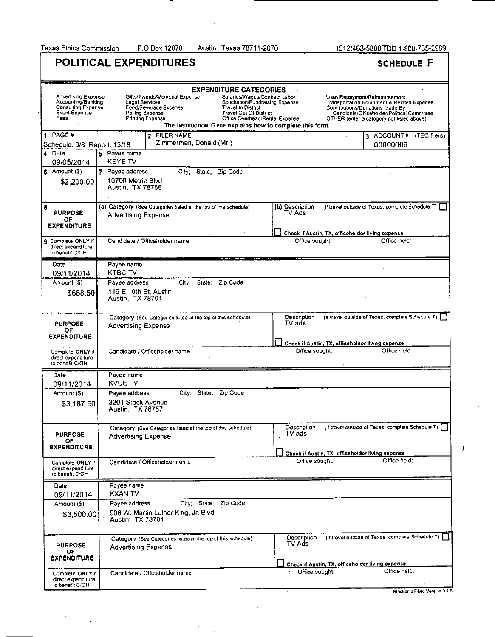Texas Ethics Commission P.O.Box 12070 Austin, Texas 78711-2070 (512)463-5800 TDD 1-800-735-2989

#### **POLITICAL EXPENDITURES** SCHEDULE F

| Advertising Expense<br>Accounting/Banking<br><b>Consulting Expense</b><br>Event Expense<br>Fees | <b>EXPENDITURE CATEGORIES</b><br>Gifts/Awards/Memorial Expense<br>Salaries/Wages/Contract Labor<br>Solicitation/Fundraising Expense<br>Legal Services<br>Travel in District.<br>Food/Beverage Expense<br><b>Travel Out Of District</b><br>Polling Expense<br><b>Printing Expense</b><br>Office Overhead/Rental Expense<br>The Instruction Gune explains how to complete this form. | Loan Repayment/Reimbursement<br>Transportation Equipment & Related Expense<br>Contributions/Donations Made By<br>Candidate/Officeholder/Political Committee<br>OTHER (enter a category not listed above) |
|-------------------------------------------------------------------------------------------------|------------------------------------------------------------------------------------------------------------------------------------------------------------------------------------------------------------------------------------------------------------------------------------------------------------------------------------------------------------------------------------|----------------------------------------------------------------------------------------------------------------------------------------------------------------------------------------------------------|
| PAGE #                                                                                          | 2 FILER NAME                                                                                                                                                                                                                                                                                                                                                                       | 3 ACCOUNT#<br>(TEC filers)                                                                                                                                                                               |
| Schedule: 3/8 Report: 13/18                                                                     | Zimmerman, Donald (Mr.)                                                                                                                                                                                                                                                                                                                                                            | 00000006                                                                                                                                                                                                 |
| 4 Date<br>09/05/2014                                                                            | 5 Payee name<br><b>KEYE TV</b>                                                                                                                                                                                                                                                                                                                                                     |                                                                                                                                                                                                          |
| $6$ Amount $(9)$                                                                                | 7 Payee address<br>City; State; Zip Code                                                                                                                                                                                                                                                                                                                                           |                                                                                                                                                                                                          |
| \$2,200.00                                                                                      | 10700 Metric Blvd.<br>Austin, TX 78758                                                                                                                                                                                                                                                                                                                                             |                                                                                                                                                                                                          |
| 8<br><b>PURPOSE</b><br>OF                                                                       | (a) Category (See Categories listed at the top of this schedule)<br><b>Advertising Expense</b>                                                                                                                                                                                                                                                                                     | (If travel outside of Texas, complete Schedule T)<br>(b) Description<br>TV Ads                                                                                                                           |
| <b>EXPENDITURE</b>                                                                              |                                                                                                                                                                                                                                                                                                                                                                                    | Check if Austin, TX, officeholder living expense                                                                                                                                                         |
| <b>g</b> Complete ONLY if                                                                       | Candidate / Officeholder name                                                                                                                                                                                                                                                                                                                                                      | Office held:<br>Office sought:                                                                                                                                                                           |
| direct expenditure<br>to benefit C/OH                                                           |                                                                                                                                                                                                                                                                                                                                                                                    |                                                                                                                                                                                                          |
| Date                                                                                            | Payee name                                                                                                                                                                                                                                                                                                                                                                         |                                                                                                                                                                                                          |
| 09/11/2014                                                                                      | <b>KTBC TV</b>                                                                                                                                                                                                                                                                                                                                                                     |                                                                                                                                                                                                          |
| Amount (\$)                                                                                     | State; Zip Code<br>Pavee address<br>City:                                                                                                                                                                                                                                                                                                                                          |                                                                                                                                                                                                          |
| \$688.50                                                                                        | 119 E 10th St, Austin<br>Austin, TX 78701                                                                                                                                                                                                                                                                                                                                          |                                                                                                                                                                                                          |
|                                                                                                 | Category (See Categories listed at the top of this schedule)                                                                                                                                                                                                                                                                                                                       | Description<br>(If travel outside of Texas, complete Schedule T)                                                                                                                                         |
| <b>PURPOSE</b><br>OF                                                                            | Advertising Expense                                                                                                                                                                                                                                                                                                                                                                | TV ads                                                                                                                                                                                                   |
| <b>EXPENDITURE</b>                                                                              |                                                                                                                                                                                                                                                                                                                                                                                    |                                                                                                                                                                                                          |
| Complete ONLY if<br>direct expenditure<br>to benefit C/OH                                       | Candidate / Officeholder name                                                                                                                                                                                                                                                                                                                                                      | Check if Austin, TX, officeholder living expense<br>Office sought:<br>Office held:                                                                                                                       |
|                                                                                                 |                                                                                                                                                                                                                                                                                                                                                                                    |                                                                                                                                                                                                          |
| Date<br>09/11/2014                                                                              | Payee name                                                                                                                                                                                                                                                                                                                                                                         |                                                                                                                                                                                                          |
|                                                                                                 |                                                                                                                                                                                                                                                                                                                                                                                    |                                                                                                                                                                                                          |
|                                                                                                 | KVUE TV                                                                                                                                                                                                                                                                                                                                                                            |                                                                                                                                                                                                          |
| Amount (\$)<br>\$3,187.50                                                                       | State; Zip Code<br>City:<br>Payee address<br>3201 Steck Avenue<br>Austin, TX 78757                                                                                                                                                                                                                                                                                                 |                                                                                                                                                                                                          |
| <b>PURPOSE</b><br>OF<br><b>EXPENDITURE</b>                                                      | Category (See Categories listed at the top of this schedule)<br>Advertising Expense                                                                                                                                                                                                                                                                                                | (If travel outside of Texas, complete Schedule T)  <br>Description<br>TV ads                                                                                                                             |
|                                                                                                 |                                                                                                                                                                                                                                                                                                                                                                                    | Check if Austin, TX, officeholder living expense                                                                                                                                                         |
| Complete ONLY if<br>direct expenditure<br>to benefit C/OH                                       | Candidate / Officeholder name                                                                                                                                                                                                                                                                                                                                                      | Office held:<br>Office sought:                                                                                                                                                                           |
| Date<br>09/11/2014                                                                              | Payee name<br>KXAN TV                                                                                                                                                                                                                                                                                                                                                              |                                                                                                                                                                                                          |
| Amount (\$)                                                                                     | Zip Code<br>City, State,<br>Payee address                                                                                                                                                                                                                                                                                                                                          |                                                                                                                                                                                                          |
| \$3,500.00                                                                                      | 908 W. Martin Luther King, Jr. Blvd<br>Austin: TX 78701                                                                                                                                                                                                                                                                                                                            |                                                                                                                                                                                                          |
| <b>PURPOSE</b><br>OF.<br><b>EXPENDITURE</b>                                                     | Category (See Categories listed at the top of this schedule)<br>Advertising Expense                                                                                                                                                                                                                                                                                                | (If travel outside of Texas, complete Schedule T)<br>Description<br>TV Ads                                                                                                                               |
| Complete ONLY if                                                                                | Candidate / Officeholder name                                                                                                                                                                                                                                                                                                                                                      | Check if Austin, TX, officeholder living expense<br>Office held.<br>Office sought:                                                                                                                       |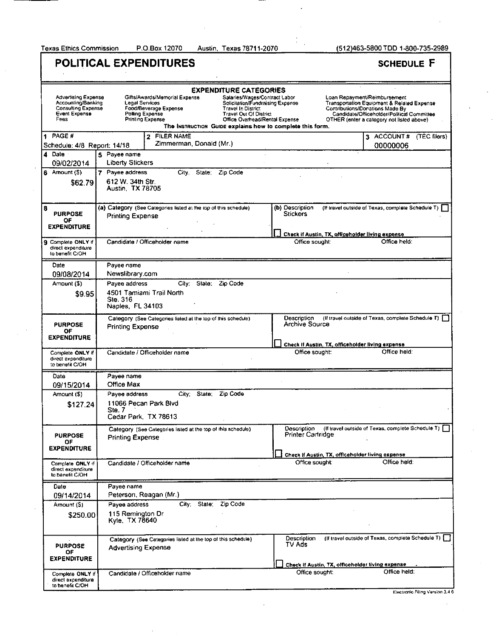Texas Ethics Commission P.O.Box 12070 Austin, Texas 78711-2070 (512)463-5800 TDD 1-800-735-2989

|                                                                                                 | POLITICAL EXPENDITURES                                                                                                                                                                                                                                                                                                                                   |                                                  | <b>SCHEDULE F</b>                                                                                                                                                                                        |
|-------------------------------------------------------------------------------------------------|----------------------------------------------------------------------------------------------------------------------------------------------------------------------------------------------------------------------------------------------------------------------------------------------------------------------------------------------------------|--------------------------------------------------|----------------------------------------------------------------------------------------------------------------------------------------------------------------------------------------------------------|
|                                                                                                 | <b>EXPENDITURE CATEGORIES</b>                                                                                                                                                                                                                                                                                                                            |                                                  |                                                                                                                                                                                                          |
| <b>Advertising Expense</b><br>Accounting/Banking<br>Consulting Expense<br>Event Expense<br>Fees | Salaries/Wages/Contract Labor<br>Gifts/Awards/Memorial Expense<br>Solicitation/Fundraising Expense<br>Legal Services<br>Food/Beverage Expense<br><b>Travel In District</b><br>Polling Expense<br><b>Travel Out Of District</b><br><b>Printing Expense</b><br>Office Overhead/Rental Expense<br>The Instruction Guipe explains how to complete this form. |                                                  | Loan Repayment/Reimbursement<br>Transportation Equioment & Related Expense<br>Contributions/Donations Made By<br>Candidate/Officeholder/Political Committee<br>OTHER (enter a category not listed above) |
| PAGE #<br>1<br>Schedule: 4/8 Report: 14/18                                                      | 2 FILER NAME<br>Zimmerman, Donald (Mr.)                                                                                                                                                                                                                                                                                                                  |                                                  | 3 ACCOUNT # (TEC filers)<br>00000006                                                                                                                                                                     |
| 4 Date                                                                                          | 5 Payee name<br><b>Liberty Stickers</b>                                                                                                                                                                                                                                                                                                                  |                                                  |                                                                                                                                                                                                          |
| 09/02/2014<br>6 Amount (S)                                                                      | 7 Payee address<br>City,<br>State;<br>Zip Code                                                                                                                                                                                                                                                                                                           |                                                  |                                                                                                                                                                                                          |
| \$62.79                                                                                         | 612 W. 34th Str.<br>Austin, TX 78705                                                                                                                                                                                                                                                                                                                     |                                                  |                                                                                                                                                                                                          |
| 8<br><b>PURPOSE</b><br>ОF                                                                       | (a) Category (See Categories listed at the top of this schedule).<br><b>Printing Expense</b>                                                                                                                                                                                                                                                             | (b) Description<br><b>Stickers</b>               | (If travel outside of Texas, complete Schedule T)                                                                                                                                                        |
| <b>EXPENDITURE</b>                                                                              |                                                                                                                                                                                                                                                                                                                                                          | Check if Austin, TX, officeholder living expense |                                                                                                                                                                                                          |
| <b>9</b> Complete ONLY if<br>direct expenditure<br>to benefit C/OH                              | Candidate / Officeholder name                                                                                                                                                                                                                                                                                                                            | Office sought:                                   | Office held:                                                                                                                                                                                             |
| Date                                                                                            | Payee name                                                                                                                                                                                                                                                                                                                                               |                                                  |                                                                                                                                                                                                          |
| 09/08/2014<br>Amount (\$)                                                                       | Newslibrary.com<br>City:<br>State:<br>Zip Code                                                                                                                                                                                                                                                                                                           |                                                  |                                                                                                                                                                                                          |
| \$9.95                                                                                          | Payee address<br>4501 Tamiami Trail North<br>Ste. 316<br>Naples, FL 34103                                                                                                                                                                                                                                                                                |                                                  |                                                                                                                                                                                                          |
| <b>PURPOSE</b><br>OF                                                                            | Category (See Categories listed at the top of this schedule)<br><b>Printing Expense</b>                                                                                                                                                                                                                                                                  | Description<br><b>Archive Source</b>             | (If travel outside of Texas, complete Schedule T)                                                                                                                                                        |
| <b>EXPENDITURE</b>                                                                              |                                                                                                                                                                                                                                                                                                                                                          | Check if Austin, TX, officeholder living expense |                                                                                                                                                                                                          |
| Complete ONLY if<br>direct expenditure<br>to benefit C/OH                                       | Candidate / Officeholder name                                                                                                                                                                                                                                                                                                                            | Office sought:                                   | Office held:                                                                                                                                                                                             |
| Date                                                                                            | Payee name                                                                                                                                                                                                                                                                                                                                               |                                                  |                                                                                                                                                                                                          |
| 09/15/2014<br>Amount (\$)                                                                       | Office Max<br>State;<br>City;<br>Zip Code<br>Payee address                                                                                                                                                                                                                                                                                               |                                                  |                                                                                                                                                                                                          |
| \$127.24                                                                                        | 11066 Pecan Park Blvd<br>Ste. 7<br>Cedar Park, TX 78613                                                                                                                                                                                                                                                                                                  |                                                  |                                                                                                                                                                                                          |
| <b>PURPOSE</b><br>OF<br><b>EXPENDITURE</b>                                                      | Category (See Categories listed at the top of this schedule)<br><b>Printing Expense</b>                                                                                                                                                                                                                                                                  | Description<br>Printer Cartridge                 | (If travel outside of Texas, complete Schedule T)                                                                                                                                                        |
|                                                                                                 |                                                                                                                                                                                                                                                                                                                                                          | Check if Austin, TX, officeholder living expense |                                                                                                                                                                                                          |
| Complete ONLY if<br>direct expenditure<br>to benefit C/OH                                       | Candidate / Officeholder name                                                                                                                                                                                                                                                                                                                            | Office sought:                                   | Office held.                                                                                                                                                                                             |
| Date<br>09/14/2014                                                                              | Payee name<br>Peterson, Reagan (Mr.)                                                                                                                                                                                                                                                                                                                     |                                                  |                                                                                                                                                                                                          |
| Amount (S)                                                                                      | City: State: Zip Code<br>Payee address                                                                                                                                                                                                                                                                                                                   |                                                  |                                                                                                                                                                                                          |
| \$250.00                                                                                        | 115 Remington Dr<br>Kyle, TX 78640                                                                                                                                                                                                                                                                                                                       |                                                  |                                                                                                                                                                                                          |
| <b>PURPOSE</b><br>OF<br><b>EXPENDITURE</b>                                                      | Category (See Categories listed at the top of this schedule)<br><b>Advertising Expense</b>                                                                                                                                                                                                                                                               | Description<br>TV Ads                            | (If travel outside of Texas, complete Schedule T)                                                                                                                                                        |
|                                                                                                 |                                                                                                                                                                                                                                                                                                                                                          | Check if Austin, TX, officeholder living expense |                                                                                                                                                                                                          |
| Complete ONLY if<br>direct expenditure<br>to benefit C/OH                                       | Candidate / Officeholder name                                                                                                                                                                                                                                                                                                                            | Office sought:                                   | Office held:<br>Electronic Filing Version 3.4 6                                                                                                                                                          |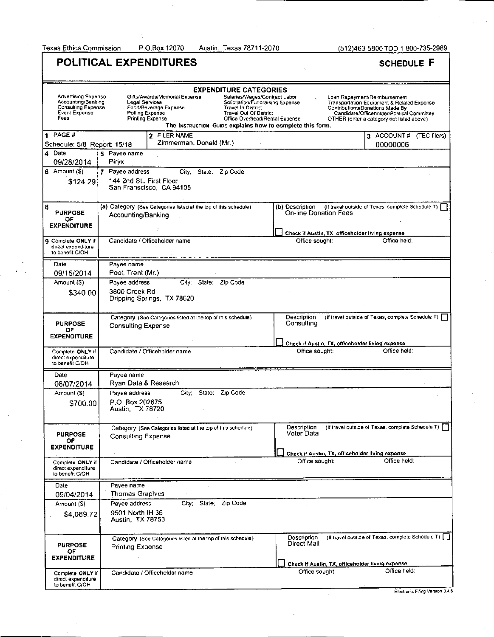Texas Ethics Commission P.O.Box 12070 Austin, Texas 78711-2070 (512)463-5800 TDD 1-800-735-2989

# **POLITICAL EXPENDITURES** SCHEDULE **F**

| <b>Advertising Expanse</b><br>Accounting/Banking<br>Consulting Expense<br>Event Expense<br>Fees | <b>EXPENDITURE CATEGORIES</b><br>Gilts/Awards/Memorial Expense<br>Salaries/Wages/Contract Labor<br>Solicitation/Fundraising Expense<br>Legal Services<br>Food/Beverage Expense<br><b>Travel In District</b><br>Polling Expense<br><b>Travel Out Of District</b><br>Printing Expanse<br>Office Overhead/Rental Expense<br>The Instruction Guipe explains how to complete this form. | Loan Repayment/Reimbursement<br>Transportation Equipment & Related Expense<br>Contributions/Donations Made By<br>Candidate/Officeholder/Political Committee<br>OTHER (enter a category not listed above) |
|-------------------------------------------------------------------------------------------------|------------------------------------------------------------------------------------------------------------------------------------------------------------------------------------------------------------------------------------------------------------------------------------------------------------------------------------------------------------------------------------|----------------------------------------------------------------------------------------------------------------------------------------------------------------------------------------------------------|
| 1 PAGE#                                                                                         | 2 FILER NAME                                                                                                                                                                                                                                                                                                                                                                       | 3 ACCOUNT# (TEC filers)                                                                                                                                                                                  |
| Schedule: 5/8 Report: 15/18                                                                     | Zimmerman, Donald (Mr.)                                                                                                                                                                                                                                                                                                                                                            | 00000006                                                                                                                                                                                                 |
| 4 Date                                                                                          | 5 Payee name                                                                                                                                                                                                                                                                                                                                                                       |                                                                                                                                                                                                          |
| 09/28/2014                                                                                      | Piryx                                                                                                                                                                                                                                                                                                                                                                              |                                                                                                                                                                                                          |
| 6 Amount (\$)<br>\$124.29                                                                       | 7 Payee address<br>City; State: Zip Code<br>144 2nd St., First Floor                                                                                                                                                                                                                                                                                                               |                                                                                                                                                                                                          |
|                                                                                                 | San Franscisco, CA 94105                                                                                                                                                                                                                                                                                                                                                           |                                                                                                                                                                                                          |
| 8                                                                                               | (a) Category (See Categories listed at the top of this schedule)                                                                                                                                                                                                                                                                                                                   | (b) Description (If travel outside of Texas, complete Schedule T) [                                                                                                                                      |
| <b>PURPOSE</b><br>ОF                                                                            | Accounting/Banking                                                                                                                                                                                                                                                                                                                                                                 | <b>On-line Donation Fees</b>                                                                                                                                                                             |
| <b>EXPENDITURE</b>                                                                              |                                                                                                                                                                                                                                                                                                                                                                                    |                                                                                                                                                                                                          |
|                                                                                                 |                                                                                                                                                                                                                                                                                                                                                                                    | Check if Austin, TX, officeholder living expense                                                                                                                                                         |
| 9 Complete ONLY if                                                                              | Candidate / Officeholder name                                                                                                                                                                                                                                                                                                                                                      | Office sought:<br>Office held:                                                                                                                                                                           |
| direct expenditure<br>to benefit C/OH                                                           |                                                                                                                                                                                                                                                                                                                                                                                    |                                                                                                                                                                                                          |
|                                                                                                 |                                                                                                                                                                                                                                                                                                                                                                                    |                                                                                                                                                                                                          |
| Date                                                                                            | Payee name                                                                                                                                                                                                                                                                                                                                                                         |                                                                                                                                                                                                          |
| 09/15/2014                                                                                      | Pool, Trent (Mr.)                                                                                                                                                                                                                                                                                                                                                                  |                                                                                                                                                                                                          |
| Amount (\$)                                                                                     | State: Zip Code<br>Pavee address<br>City:                                                                                                                                                                                                                                                                                                                                          |                                                                                                                                                                                                          |
| \$340.00                                                                                        | 3800 Creek Rd                                                                                                                                                                                                                                                                                                                                                                      |                                                                                                                                                                                                          |
|                                                                                                 | Dripping Springs, TX 78620                                                                                                                                                                                                                                                                                                                                                         |                                                                                                                                                                                                          |
|                                                                                                 |                                                                                                                                                                                                                                                                                                                                                                                    |                                                                                                                                                                                                          |
|                                                                                                 | Category (See Categories listed at the top of this schedule)                                                                                                                                                                                                                                                                                                                       | Description<br>(if travel outside of Texas, complete Schedule T)                                                                                                                                         |
| <b>PURPOSE</b>                                                                                  | <b>Consulting Expense</b>                                                                                                                                                                                                                                                                                                                                                          | Consulting                                                                                                                                                                                               |
| OF<br><b>EXPENDITURE</b>                                                                        |                                                                                                                                                                                                                                                                                                                                                                                    |                                                                                                                                                                                                          |
|                                                                                                 |                                                                                                                                                                                                                                                                                                                                                                                    | Check if Austin, TX, officeholder living expense                                                                                                                                                         |
| Complete ONLY if                                                                                | Candidate / Officeholder name                                                                                                                                                                                                                                                                                                                                                      | Office held:<br>Office sought:                                                                                                                                                                           |
| direct expenditure<br>to benefit C/OH                                                           |                                                                                                                                                                                                                                                                                                                                                                                    |                                                                                                                                                                                                          |
|                                                                                                 |                                                                                                                                                                                                                                                                                                                                                                                    |                                                                                                                                                                                                          |
| Date                                                                                            | Payee name                                                                                                                                                                                                                                                                                                                                                                         |                                                                                                                                                                                                          |
| 08/07/2014                                                                                      | Ryan Data & Research                                                                                                                                                                                                                                                                                                                                                               |                                                                                                                                                                                                          |
| Amount (\$)                                                                                     | State: Zip Code<br>City:<br>Payee address                                                                                                                                                                                                                                                                                                                                          |                                                                                                                                                                                                          |
| \$700.00                                                                                        | P.O. Box 202675                                                                                                                                                                                                                                                                                                                                                                    |                                                                                                                                                                                                          |
|                                                                                                 | Austin, TX 78720                                                                                                                                                                                                                                                                                                                                                                   |                                                                                                                                                                                                          |
|                                                                                                 |                                                                                                                                                                                                                                                                                                                                                                                    |                                                                                                                                                                                                          |
|                                                                                                 | Category (See Categories listed at the top of this schedule).                                                                                                                                                                                                                                                                                                                      | (if travel outside of Texas, complete Schedule T)<br>Description                                                                                                                                         |
| <b>PURPOSE</b>                                                                                  | <b>Consulting Expense</b>                                                                                                                                                                                                                                                                                                                                                          | Voter Data                                                                                                                                                                                               |
| ОF<br><b>EXPENDITURE</b>                                                                        |                                                                                                                                                                                                                                                                                                                                                                                    |                                                                                                                                                                                                          |
|                                                                                                 |                                                                                                                                                                                                                                                                                                                                                                                    | Check if Austin, TX, officeholder living expense                                                                                                                                                         |
| Complete ONLY if                                                                                | Candidate / Officeholder name                                                                                                                                                                                                                                                                                                                                                      | Office held:<br>Office sought:                                                                                                                                                                           |
| direct expenditure<br>to benefit C/OH                                                           |                                                                                                                                                                                                                                                                                                                                                                                    |                                                                                                                                                                                                          |
|                                                                                                 |                                                                                                                                                                                                                                                                                                                                                                                    |                                                                                                                                                                                                          |
| Date                                                                                            | Payee name                                                                                                                                                                                                                                                                                                                                                                         |                                                                                                                                                                                                          |
| 09/04/2014                                                                                      | <b>Thomas Graphics</b>                                                                                                                                                                                                                                                                                                                                                             |                                                                                                                                                                                                          |
| Amount (S)                                                                                      | City: State Zip Code<br>Payee address                                                                                                                                                                                                                                                                                                                                              |                                                                                                                                                                                                          |
| \$4,069.72                                                                                      | 9501 North IH 35                                                                                                                                                                                                                                                                                                                                                                   |                                                                                                                                                                                                          |
|                                                                                                 | Austin, TX 78753                                                                                                                                                                                                                                                                                                                                                                   |                                                                                                                                                                                                          |
|                                                                                                 |                                                                                                                                                                                                                                                                                                                                                                                    |                                                                                                                                                                                                          |
|                                                                                                 | Category (See Categories listed at the top of this schedule)                                                                                                                                                                                                                                                                                                                       | (If travel outside of Texas, complete Schedule T) [<br>Description                                                                                                                                       |
| <b>PURPOSE</b>                                                                                  | Printing Expense                                                                                                                                                                                                                                                                                                                                                                   | Direct Mail                                                                                                                                                                                              |
| OF                                                                                              |                                                                                                                                                                                                                                                                                                                                                                                    |                                                                                                                                                                                                          |
| <b>EXPENDITURE</b>                                                                              |                                                                                                                                                                                                                                                                                                                                                                                    | Check if Austin, TX, officeholder living expense                                                                                                                                                         |
| Complete ONLY if                                                                                | Candidate / Officeholder name                                                                                                                                                                                                                                                                                                                                                      | Office held:<br>Office sought:                                                                                                                                                                           |
| direct expenditure                                                                              |                                                                                                                                                                                                                                                                                                                                                                                    |                                                                                                                                                                                                          |
| to benelit C/OH                                                                                 |                                                                                                                                                                                                                                                                                                                                                                                    |                                                                                                                                                                                                          |
|                                                                                                 |                                                                                                                                                                                                                                                                                                                                                                                    | Electronic Filing Version 3.4.                                                                                                                                                                           |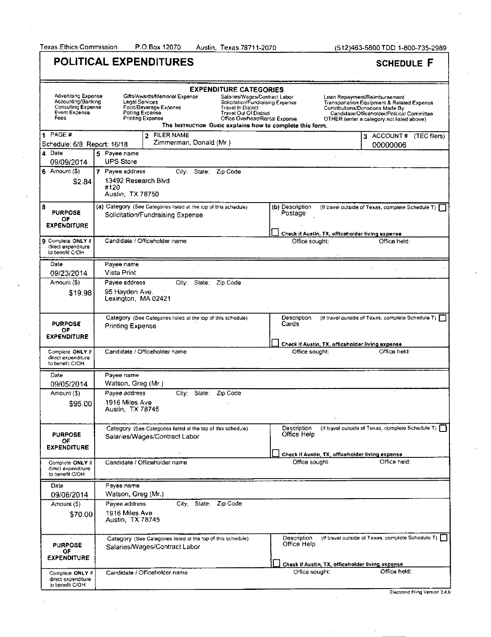09/23/2014

\$19.98

Amount (\$)

PURPOSE OF EXPENDITURE

Complete ONLY if direct expenditure<br>to benefit C/OH

Date 09/05/2014

Amount (\$)

PURPOSE OF<br>EXPENDITURE

Complete ONLY if direct expenditure<br>to benefit C/OH

Amount (S)

PURPOSE OF EXPENDITURE

Complete ONLY if direct expenditure<br>to benefit C/OH

\$70.00

Date 09/08/2014

\$95.00

| Texas Ethics Commission                                                                                |                                                                       | P.O.Box 12070                                                                                                   |                       | Austin, Texas 78711-2070                                                                                                                                                                           |                                                           |                                                  | (512)463-5800 TDD 1-800-735-2989                                                                                                                                                                         |              |
|--------------------------------------------------------------------------------------------------------|-----------------------------------------------------------------------|-----------------------------------------------------------------------------------------------------------------|-----------------------|----------------------------------------------------------------------------------------------------------------------------------------------------------------------------------------------------|-----------------------------------------------------------|--------------------------------------------------|----------------------------------------------------------------------------------------------------------------------------------------------------------------------------------------------------------|--------------|
|                                                                                                        |                                                                       | POLITICAL EXPENDITURES                                                                                          |                       |                                                                                                                                                                                                    |                                                           |                                                  | <b>SCHEDULE F</b>                                                                                                                                                                                        |              |
| <b>Advertising Expense</b><br>Accounting/Banking<br>Consulting Expense<br>Event Expense<br><b>Fees</b> |                                                                       | Gifts/Awards/Memorial Expense<br>Legal Services<br>Food/Beverage Expense<br>Polling Expense<br>Printing Expense |                       | <b>EXPENDITURE CATEGORIES</b><br>Salaries/Wages/Contract Labor<br>Solicitation/Fundraising Expense<br><b>Travel In District</b><br><b>Travel Out Of District</b><br>Office Overhead/Rental Expense | The INSTRUCTION GUIDE explains how to complete this form. |                                                  | Loan Repayment/Reimbursement<br>Transportation Equipment & Related Expense<br>Contributions/Donations Made By<br>Candidate/Officeholder/Political Committee<br>OTHER (enter a category not listed above) |              |
| PAGE#<br>Schedule: 6/8 Report: 16/18                                                                   |                                                                       | <b>FILER NAME</b><br>$\overline{2}$<br>Zimmerman, Donald (Mr.)                                                  |                       |                                                                                                                                                                                                    |                                                           |                                                  | 3 ACCOUNT#<br>00000006                                                                                                                                                                                   | (TEC filers) |
| 4 Date<br>09/09/2014                                                                                   | 5 Payee name<br><b>UPS</b> Store                                      |                                                                                                                 |                       |                                                                                                                                                                                                    |                                                           |                                                  |                                                                                                                                                                                                          |              |
| Amount (\$)<br>6.<br>\$2.84                                                                            | 7<br>Payee address<br>13492 Research Blvd<br>#120<br>Austin, TX 78750 |                                                                                                                 | City; State; Zip Code |                                                                                                                                                                                                    |                                                           |                                                  |                                                                                                                                                                                                          |              |
| 8<br><b>PURPOSE</b><br>OF<br><b>EXPENDITURE</b>                                                        |                                                                       | (a) Category (See Categories listed at the top of this schedule)<br>Solicitation/Fundraising Expense            |                       |                                                                                                                                                                                                    | (b) Description<br>Postage                                | Check if Austin, TX, officeholder living expense | (If travel outside of Texas, complete Schedule T) [7]                                                                                                                                                    |              |
| <b>9 Complete ONLY if</b><br>direct expenditure<br>to benefit C/OH                                     |                                                                       | Candidate / Officeholder name                                                                                   |                       |                                                                                                                                                                                                    | Office sought:                                            |                                                  | Office held:                                                                                                                                                                                             |              |
| Date                                                                                                   | Pavee name                                                            |                                                                                                                 |                       |                                                                                                                                                                                                    |                                                           |                                                  |                                                                                                                                                                                                          |              |

(If travel outside of Texas, complete Schedule T)  $\Box$ in, TX, officeholder living expense Candidate / Officeholder name Office sought: Office held: Payee name Vista Print Payee address City; State: Zip Code 95 Hayden Ave, Lexington, MA 02421 Category (See Categories listed at the top of this schedule) Printing Expense Description (If travel outside of Texas, complete Schedule T) [ Cards Check if Austin, TX, officeholder living expense<br>Office sought: Office he Candidate / Officeholder name  $\qquad \qquad$  Office sought: Office held: Payee name Watson, Greg (Mr.) Payee address City; State; Zip Code 1916 Miles Ave Austin, TX 78745 Category (See Categories listed at the top of this schedule) Salaries/Wages/Contract Labor Description (If travel outside of Texas, complete Schedule T) Office Help Check If Austin, TX, officeholder living expense<br>Office sought: Office held: Candidate / Officeholder name Office sought: Payee name Watson, Greg (Mr.) Payee address City; State; Zip Code 1916 Miles Ave Austin, TX 78745 Category (See Categories listed at the top of this schedule) Salaries/Wages/Contract Labor Description (if travel outside of Texas, complete Schedule T) [ Office Help Check if Austin, TX, officeholder living expense<br>Office sought: Office held:

Candidate / Officeholder name Office sought:

#### Elecironic Filing Version 3,4.6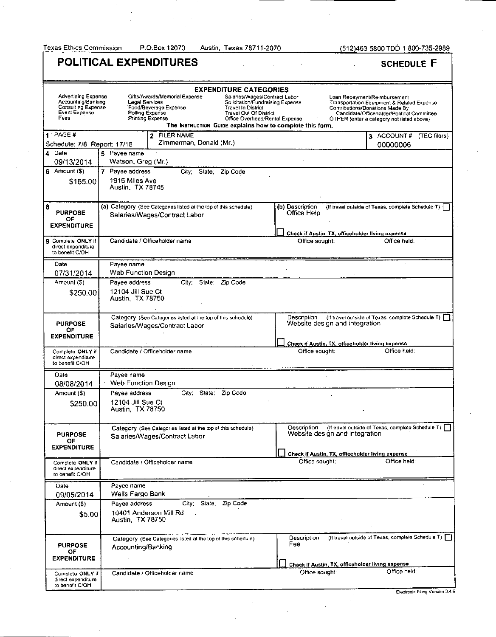Texas Ethics Commission P,O.Box 12070 Austin, Texas 78711-2070 (512)463-5800 TDD 1-800-735-2989

|                                                                                                        | <b>POLITICAL EXPENDITURES</b>                                                                                                                                                                                                                                               |                                                                     | <b>SCHEDULE F</b>                                                                                                                                                                                        |
|--------------------------------------------------------------------------------------------------------|-----------------------------------------------------------------------------------------------------------------------------------------------------------------------------------------------------------------------------------------------------------------------------|---------------------------------------------------------------------|----------------------------------------------------------------------------------------------------------------------------------------------------------------------------------------------------------|
|                                                                                                        | <b>EXPENDITURE CATEGORIES</b>                                                                                                                                                                                                                                               |                                                                     |                                                                                                                                                                                                          |
| <b>Advertising Expense</b><br>Accounting/Banking<br><b>Consulting Expense</b><br>Event Exponse<br>Fees | Gifts/Awards/Memorial Expense<br>Salaries/Wages/Contract Labor<br>Legal Services<br>Food/Beverage Expense<br><b>Travel In District</b><br>Polling Expense<br><b>Travel Out Of District</b><br>Printing Expense<br>The INSTRUCTION GUIDE explains how to complete this form. | Solicitation/Fundraising Expense<br>Office Overhead/Rental Expense. | Loan Repayment/Reimbursement<br>Transportation Equipment & Related Expense<br>Contributions/Donations Made By<br>Candidate/Officeholder/Political Committee<br>OTHER (enter a category not listed above) |
| 1 PAGE #<br>Schedule: 7/8 Report: 17/18                                                                | 2 FILER NAME<br>Zimmerman, Donald (Mr.)                                                                                                                                                                                                                                     |                                                                     | 3 ACCOUNT#<br>(TEC filers)<br>00000006                                                                                                                                                                   |
| 4. Date                                                                                                | 5 Payee name<br>Watson, Greg (Mr.)                                                                                                                                                                                                                                          |                                                                     |                                                                                                                                                                                                          |
| 09/13/2014<br>$6$ Amount $(5)$                                                                         | 7 Payee address<br>City; State; Zip Code                                                                                                                                                                                                                                    |                                                                     |                                                                                                                                                                                                          |
| \$165.00                                                                                               | 1916 Miles Ave<br>Austin, TX 78745                                                                                                                                                                                                                                          |                                                                     |                                                                                                                                                                                                          |
| 8<br><b>PURPOSE</b><br>ОF                                                                              | (a) Category (See Categories listed at the top of this schedule)<br>Salaries/Wages/Contract Labor                                                                                                                                                                           | (b) Description<br>Office Help                                      | (If travel outside of Texas, complete Schedule T) $\Box$                                                                                                                                                 |
| <b>EXPENDITURE</b>                                                                                     |                                                                                                                                                                                                                                                                             | Check if Austin, TX, officeholder flying expense                    |                                                                                                                                                                                                          |
| Complete ONLY if<br>9<br>direct expenditure<br>to benefit C/OH                                         | Candidate / Officeholder name                                                                                                                                                                                                                                               | Office sought:                                                      | Office held:                                                                                                                                                                                             |
| Date                                                                                                   | Payee name                                                                                                                                                                                                                                                                  |                                                                     |                                                                                                                                                                                                          |
| 07/31/2014<br>Amount (\$)                                                                              | <b>Web Function Design</b><br>City; State: Zip Code<br>Payee address                                                                                                                                                                                                        |                                                                     |                                                                                                                                                                                                          |
| \$250.00                                                                                               | 12104 Jill Sue Ct<br>Austin, TX 78750                                                                                                                                                                                                                                       |                                                                     |                                                                                                                                                                                                          |
| <b>PURPOSE</b><br>ОF                                                                                   | Category (See Categories listed at the top of this schedule)<br>Salaries/Wages/Contract Labor                                                                                                                                                                               | Description<br>Website design and integration                       | (If travel outside of Texas, complete Schedule T)                                                                                                                                                        |
| <b>EXPENDITURE</b>                                                                                     |                                                                                                                                                                                                                                                                             | Check if Austin, TX, officeholder living expense                    |                                                                                                                                                                                                          |
| Complete ONLY if<br>direct expenditure<br>to benefit C/OH                                              | Candidate / Officeholder name                                                                                                                                                                                                                                               | Office sought:                                                      | Office held:                                                                                                                                                                                             |
| Date                                                                                                   | Payee name                                                                                                                                                                                                                                                                  |                                                                     |                                                                                                                                                                                                          |
| 08/08/2014<br>Amount (S)                                                                               | Web Function Design<br>Zip Code<br>Payee address<br>Citv;<br>State:                                                                                                                                                                                                         |                                                                     |                                                                                                                                                                                                          |
| \$250.00                                                                                               | 12104 Jill Sue Ct<br>Austin, TX 78750                                                                                                                                                                                                                                       |                                                                     |                                                                                                                                                                                                          |
| <b>PURPOSE</b><br>ΟF<br><b>EXPENDITURE</b>                                                             | Category (See Categories listed at the top of this schedule)<br>Salaries/Wages/Contract Labor                                                                                                                                                                               | Description<br>Website design and integration                       | (If travel outside of Texas, complete Schedule T)                                                                                                                                                        |
|                                                                                                        |                                                                                                                                                                                                                                                                             | Check if Austin, TX, officeholder living expense                    |                                                                                                                                                                                                          |
| Complete ONLY if<br>direct expenditure<br>to benefit C/OH                                              | Candidate / Officeholder name                                                                                                                                                                                                                                               | Office sought:                                                      | Office held:                                                                                                                                                                                             |
| Date<br>09/05/2014                                                                                     | Payee name<br>Wells Fargo Bank                                                                                                                                                                                                                                              |                                                                     |                                                                                                                                                                                                          |
| Amount (S)                                                                                             | City; State; Zip Code<br>Payee address                                                                                                                                                                                                                                      |                                                                     |                                                                                                                                                                                                          |
| \$5.00                                                                                                 | 10401 Anderson Mill Rd.<br>Austin, TX 78750                                                                                                                                                                                                                                 |                                                                     |                                                                                                                                                                                                          |
| <b>PURPOSE</b><br>OF                                                                                   | Category (See Categories listed at the top of this schedule)<br>Accounting/Banking                                                                                                                                                                                          | Description<br>Feel                                                 | (If travel outside of Texas, complete Schedule T)                                                                                                                                                        |
| <b>EXPENDITURE</b>                                                                                     |                                                                                                                                                                                                                                                                             | Check if Austin, TX, officeholder living expense                    |                                                                                                                                                                                                          |
| Complete ONLY if<br>direct expenditure<br>to benefit C/OH                                              | Candidate / Officeholder name                                                                                                                                                                                                                                               | Office sought:                                                      | Office held:                                                                                                                                                                                             |
|                                                                                                        |                                                                                                                                                                                                                                                                             |                                                                     | Electronic Filing Version 3.4.6                                                                                                                                                                          |

 $\frac{1}{2}$  ,  $\frac{1}{2}$  ,  $\frac{1}{2}$ 

 $\overline{a}$